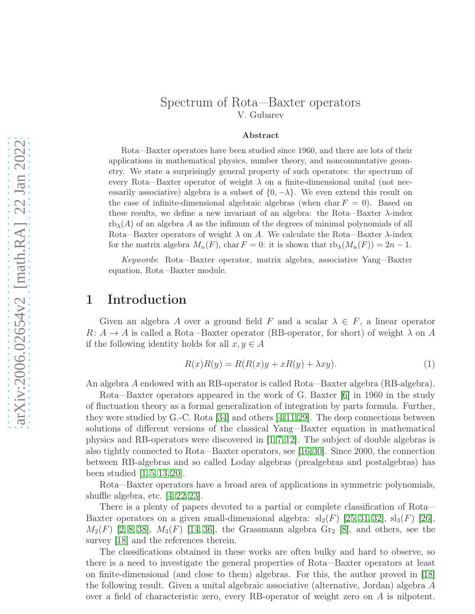### Spectrum of Rota—Baxter operators V. Gubarev

#### Abstract

Rota—Baxter operators have been studied since 1960, and there are lots of their applications in mathematical physics, number theory, and noncommutative geometry. We state a surprisingly general property of such operators: the spectrum of every Rota—Baxter operator of weight  $\lambda$  on a finite-dimensional unital (not necessarily associative) algebra is a subset of  $\{0, -\lambda\}$ . We even extend this result on the case of infinite-dimensional algebraic algebras (when char  $F = 0$ ). Based on these results, we define a new invariant of an algebra: the Rota—Baxter  $\lambda$ -index  $r\mathfrak{b}_{\lambda}(A)$  of an algebra A as the infimum of the degrees of minimal polynomials of all Rota—Baxter operators of weight  $\lambda$  on A. We calculate the Rota—Baxter  $\lambda$ -index for the matrix algebra  $M_n(F)$ , char  $F = 0$ : it is shown that  $rb_{\lambda}(M_n(F)) = 2n - 1$ .

Keywords: Rota—Baxter operator, matrix algebra, associative Yang—Baxter equation, Rota—Baxter module.

### 1 Introduction

Given an algebra A over a ground field F and a scalar  $\lambda \in F$ , a linear operator  $R: A \to A$  is called a Rota—Baxter operator (RB-operator, for short) of weight  $\lambda$  on A if the following identity holds for all  $x, y \in A$ 

<span id="page-0-0"></span>
$$
R(x)R(y) = R(R(x)y + xR(y) + \lambda xy). \tag{1}
$$

An algebra A endowed with an RB-operator is called Rota—Baxter algebra (RB-algebra).

Rota—Baxter operators appeared in the work of G. Baxter [\[6\]](#page-20-0) in 1960 in the study of fluctuation theory as a formal generalization of integration by parts formula. Further, they were studied by G.-C. Rota [\[34\]](#page-22-0) and others [\[4,](#page-20-1)[11](#page-20-2)[,29\]](#page-21-0). The deep connections between solutions of different versions of the classical Yang—Baxter equation in mathematical physics and RB-operators were discovered in  $[1, 7, 12]$  $[1, 7, 12]$  $[1, 7, 12]$ . The subject of double algebras is also tightly connected to Rota—Baxter operators, see [\[16,](#page-20-6)[30\]](#page-21-1). Since 2000, the connection between RB-algebras and so called Loday algebras (prealgebras and postalgebras) has been studied [\[1,](#page-20-3) [5,](#page-20-7) [13,](#page-20-8) [20\]](#page-21-2).

Rota—Baxter operators have a broad area of applications in symmetric polynomials, shuffle algebra, etc. [\[4,](#page-20-1) [22,](#page-21-3) [23\]](#page-21-4).

There is a plenty of papers devoted to a partial or complete classification of Rota— Baxter operators on a given small-dimensional algebra:  $sl_2(F)$  [\[25,](#page-21-5) [31,](#page-21-6) [32\]](#page-21-7),  $sl_3(F)$  [\[26\]](#page-21-8),  $M_2(F)$  [\[2,](#page-20-9) [8,](#page-20-10) [38\]](#page-22-1),  $M_3(F)$  [\[14,](#page-20-11) [36\]](#page-22-2), the Grassmann algebra Gr<sub>2</sub> [\[8\]](#page-20-10), and others, see the survey [\[18\]](#page-21-9) and the references therein.

The classifications obtained in these works are often bulky and hard to observe, so there is a need to investigate the general properties of Rota—Baxter operators at least on finite-dimensional (and close to them) algebras. For this, the author proved in [\[18\]](#page-21-9) the following result. Given a unital algebraic associative (alternative, Jordan) algebra A over a field of characteristic zero, every RB-operator of weight zero on A is nilpotent.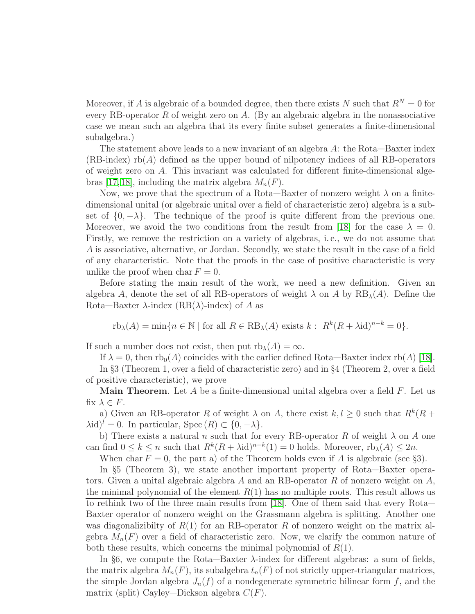Moreover, if A is algebraic of a bounded degree, then there exists N such that  $R^N = 0$  for every RB-operator R of weight zero on A. (By an algebraic algebra in the nonassociative case we mean such an algebra that its every finite subset generates a finite-dimensional subalgebra.)

The statement above leads to a new invariant of an algebra A: the Rota—Baxter index  $(RB\text{-index})$  rb $(A)$  defined as the upper bound of nilpotency indices of all RB-operators of weight zero on A. This invariant was calculated for different finite-dimensional alge-bras [\[17,](#page-21-10) [18\]](#page-21-9), including the matrix algebra  $M_n(F)$ .

Now, we prove that the spectrum of a Rota—Baxter of nonzero weight  $\lambda$  on a finitedimensional unital (or algebraic unital over a field of characteristic zero) algebra is a subset of  $\{0, -\lambda\}$ . The technique of the proof is quite different from the previous one. Moreover, we avoid the two conditions from the result from [\[18\]](#page-21-9) for the case  $\lambda = 0$ . Firstly, we remove the restriction on a variety of algebras, i. e., we do not assume that A is associative, alternative, or Jordan. Secondly, we state the result in the case of a field of any characteristic. Note that the proofs in the case of positive characteristic is very unlike the proof when char  $F = 0$ .

Before stating the main result of the work, we need a new definition. Given an algebra A, denote the set of all RB-operators of weight  $\lambda$  on A by  $RB_{\lambda}(A)$ . Define the Rota—Baxter  $\lambda$ -index (RB( $\lambda$ )-index) of A as

 $\text{rb}_\lambda(A) = \min\{n \in \mathbb{N} \mid \text{for all } R \in \text{RB}_\lambda(A) \text{ exists } k : R^k(R + \lambda \text{id})^{n-k} = 0\}.$ 

If such a number does not exist, then put  $rb_{\lambda}(A) = \infty$ .

If  $\lambda = 0$ , then  $rb_0(A)$  coincides with the earlier defined Rota—Baxter index rb(A) [\[18\]](#page-21-9).

In §3 (Theorem 1, over a field of characteristic zero) and in §4 (Theorem 2, over a field of positive characteristic), we prove

**Main Theorem.** Let A be a finite-dimensional unital algebra over a field  $F$ . Let us fix  $\lambda \in F$ .

a) Given an RB-operator R of weight  $\lambda$  on A, there exist  $k, l \geq 0$  such that  $R^k(R + \lambda)$  $\lambda$ id)<sup>*l*</sup> = 0. In particular, Spec (*R*) ⊂ {0, - $\lambda$ }.

b) There exists a natural n such that for every RB-operator R of weight  $\lambda$  on A one can find  $0 \le k \le n$  such that  $R^k(R + \lambda id)^{n-k}(1) = 0$  holds. Moreover,  $rb_{\lambda}(A) \le 2n$ .

When char  $F = 0$ , the part a) of the Theorem holds even if A is algebraic (see §3).

In §5 (Theorem 3), we state another important property of Rota—Baxter operators. Given a unital algebraic algebra A and an RB-operator R of nonzero weight on  $A$ , the minimal polynomial of the element  $R(1)$  has no multiple roots. This result allows us to rethink two of the three main results from [\[18\]](#page-21-9). One of them said that every Rota— Baxter operator of nonzero weight on the Grassmann algebra is splitting. Another one was diagonalizibilty of  $R(1)$  for an RB-operator R of nonzero weight on the matrix algebra  $M_n(F)$  over a field of characteristic zero. Now, we clarify the common nature of both these results, which concerns the minimal polynomial of  $R(1)$ .

In §6, we compute the Rota—Baxter  $\lambda$ -index for different algebras: a sum of fields, the matrix algebra  $M_n(F)$ , its subalgebra  $t_n(F)$  of not strictly upper-triangular matrices, the simple Jordan algebra  $J_n(f)$  of a nondegenerate symmetric bilinear form f, and the matrix (split) Cayley—Dickson algebra  $C(F)$ .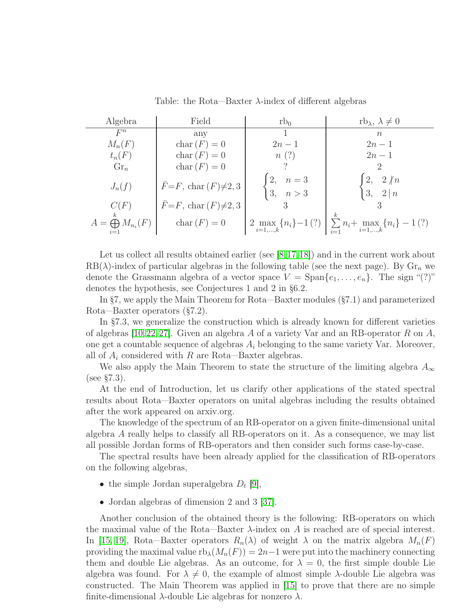Table: the Rota—Baxter  $\lambda$ -index of different algebras

| Algebra                             | Field                                 | rb <sub>0</sub>                                      | $rb_{\lambda}, \lambda \neq 0$                                                                                          |
|-------------------------------------|---------------------------------------|------------------------------------------------------|-------------------------------------------------------------------------------------------------------------------------|
| $F^n$                               | any                                   |                                                      | $\,n$                                                                                                                   |
| $M_n(F)$                            | $char(F) = 0$                         | $2n-1$                                               | $2n-1$                                                                                                                  |
| $t_n(F)$                            | $char(F) = 0$                         | n(?)                                                 | $2n-1$                                                                                                                  |
| $\mathrm{Gr}_n$                     | $char(F) = 0$                         |                                                      |                                                                                                                         |
| $J_n(f)$                            | $F=F$ , char $(F)\neq 2,3$            | $\begin{cases} 2, & n = 3 \\ 3, & n > 3 \end{cases}$ | $\begin{array}{cc} 2, & 2 \nmid n \\ 3, & 2 \mid n \end{array}$                                                         |
| C(F)                                | $\overline{F}=F$ , char $(F)\neq 2,3$ |                                                      |                                                                                                                         |
| $A = \bigoplus M_{n_i}(F)$<br>$i=1$ | $char(F) = 0$                         |                                                      | $\boldsymbol{k}$<br>2 $\max_{i=1,\dots,k} \{n_i\} - 1$ (?) $\Big \sum_{i=1}^n n_i + \max_{i=1,\dots,k} \{n_i\} - 1$ (?) |

Let us collect all results obtained earlier (see [\[8,](#page-20-10)[17,](#page-21-10)[18\]](#page-21-9)) and in the current work about  $RB(\lambda)$ -index of particular algebras in the following table (see the next page). By  $Gr_n$  we denote the Grassmann algebra of a vector space  $V = \text{Span}\{e_1, \ldots, e_n\}$ . The sign "(?)" denotes the hypothesis, see Conjectures 1 and 2 in §6.2.

In §7, we apply the Main Theorem for Rota—Baxter modules (§7.1) and parameterized Rota—Baxter operators (§7.2).

In §7.3, we generalize the construction which is already known for different varieties of algebras [\[10,](#page-20-12)[22,](#page-21-3)[27\]](#page-21-11). Given an algebra A of a variety Var and an RB-operator R on A, one get a countable sequence of algebras  $A_i$  belonging to the same variety Var. Moreover, all of  $A_i$  considered with R are Rota—Baxter algebras.

We also apply the Main Theorem to state the structure of the limiting algebra  $A_{\infty}$ (see §7.3).

At the end of Introduction, let us clarify other applications of the stated spectral results about Rota—Baxter operators on unital algebras including the results obtained after the work appeared on arxiv.org.

The knowledge of the spectrum of an RB-operator on a given finite-dimensional unital algebra A really helps to classify all RB-operators on it. As a consequence, we may list all possible Jordan forms of RB-operators and then consider such forms case-by-case.

The spectral results have been already applied for the classification of RB-operators on the following algebras,

- the simple Jordan superalgebra  $D_t$  [\[9\]](#page-20-13),
- Jordan algebras of dimension 2 and 3 [\[37\]](#page-22-3).

Another conclusion of the obtained theory is the following: RB-operators on which the maximal value of the Rota—Baxter  $\lambda$ -index on A is reached are of special interest. In [\[15,](#page-20-14) [19\]](#page-21-12), Rota—Baxter operators  $R_n(\lambda)$  of weight  $\lambda$  on the matrix algebra  $M_n(F)$ providing the maximal value  $rb_{\lambda}(M_n(F)) = 2n-1$  were put into the machinery connecting them and double Lie algebras. As an outcome, for  $\lambda = 0$ , the first simple double Lie algebra was found. For  $\lambda \neq 0$ , the example of almost simple  $\lambda$ -double Lie algebra was constructed. The Main Theorem was applied in [\[15\]](#page-20-14) to prove that there are no simple finite-dimensional  $\lambda$ -double Lie algebras for nonzero  $\lambda$ .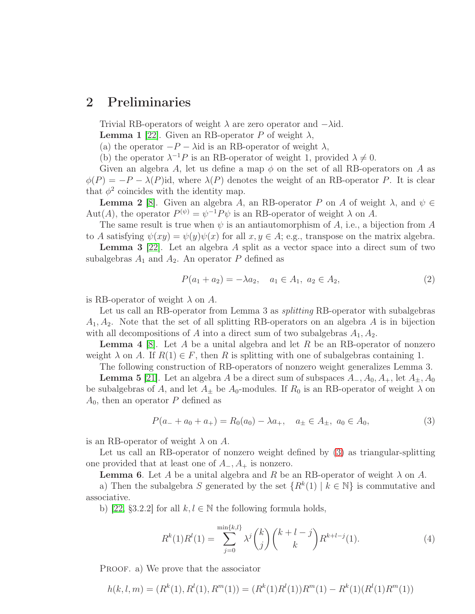# 2 Preliminaries

Trivial RB-operators of weight  $\lambda$  are zero operator and  $-\lambda$ id.

**Lemma 1** [\[22\]](#page-21-3). Given an RB-operator P of weight  $\lambda$ ,

(a) the operator  $-P - \lambda$ id is an RB-operator of weight  $\lambda$ ,

(b) the operator  $\lambda^{-1}P$  is an RB-operator of weight 1, provided  $\lambda \neq 0$ .

Given an algebra A, let us define a map  $\phi$  on the set of all RB-operators on A as  $\phi(P) = -P - \lambda(P)$ id, where  $\lambda(P)$  denotes the weight of an RB-operator P. It is clear that  $\phi^2$  coincides with the identity map.

**Lemma 2** [\[8\]](#page-20-10). Given an algebra A, an RB-operator P on A of weight  $\lambda$ , and  $\psi \in$ Aut(A), the operator  $P^{(\psi)} = \psi^{-1} P \psi$  is an RB-operator of weight  $\lambda$  on A.

The same result is true when  $\psi$  is an antiautomorphism of A, i.e., a bijection from A to A satisfying  $\psi(xy) = \psi(y)\psi(x)$  for all  $x, y \in A$ ; e.g., transpose on the matrix algebra.

**Lemma 3** [\[22\]](#page-21-3). Let an algebra A split as a vector space into a direct sum of two subalgebras  $A_1$  and  $A_2$ . An operator P defined as

$$
P(a_1 + a_2) = -\lambda a_2, \quad a_1 \in A_1, \ a_2 \in A_2,\tag{2}
$$

is RB-operator of weight  $\lambda$  on A.

Let us call an RB-operator from Lemma 3 as *splitting* RB-operator with subalgebras  $A_1, A_2$ . Note that the set of all splitting RB-operators on an algebra A is in bijection with all decompositions of A into a direct sum of two subalgebras  $A_1, A_2$ .

**Lemma 4** [\[8\]](#page-20-10). Let A be a unital algebra and let R be an RB-operator of nonzero weight  $\lambda$  on A. If  $R(1) \in F$ , then R is splitting with one of subalgebras containing 1.

The following construction of RB-operators of nonzero weight generalizes Lemma 3.

**Lemma 5** [\[21\]](#page-21-13). Let an algebra A be a direct sum of subspaces  $A_-, A_0, A_+,$  let  $A_+, A_0$ be subalgebras of A, and let  $A_{\pm}$  be  $A_0$ -modules. If  $R_0$  is an RB-operator of weight  $\lambda$  on  $A_0$ , then an operator P defined as

<span id="page-3-0"></span>
$$
P(a_- + a_0 + a_+) = R_0(a_0) - \lambda a_+, \quad a_\pm \in A_\pm, \ a_0 \in A_0,\tag{3}
$$

is an RB-operator of weight  $\lambda$  on A.

Let us call an RB-operator of nonzero weight defined by [\(3\)](#page-3-0) as triangular-splitting one provided that at least one of  $A_-, A_+$  is nonzero.

**Lemma 6.** Let A be a unital algebra and R be an RB-operator of weight  $\lambda$  on A.

a) Then the subalgebra S generated by the set  $\{R^k(1) | k \in \mathbb{N}\}\$  is commutative and associative.

b) [\[22,](#page-21-3) §3.2.2] for all  $k, l \in \mathbb{N}$  the following formula holds,

$$
R^{k}(1)R^{l}(1) = \sum_{j=0}^{\min\{k,l\}} \lambda^{j} {k \choose j} {k+l-j \choose k} R^{k+l-j}(1).
$$
 (4)

PROOF. a) We prove that the associator

$$
h(k, l, m) = (R^k(1), R^l(1), R^m(1)) = (R^k(1)R^l(1))R^m(1) - R^k(1)(R^l(1)R^m(1))
$$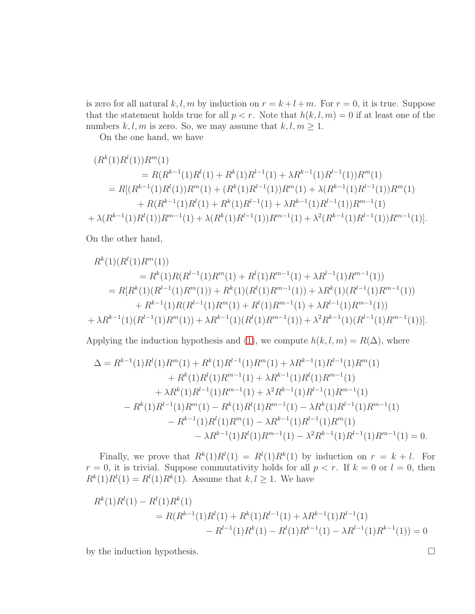is zero for all natural  $k, l, m$  by induction on  $r = k + l + m$ . For  $r = 0$ , it is true. Suppose that the statement holds true for all  $p < r$ . Note that  $h(k, l, m) = 0$  if at least one of the numbers  $k, l, m$  is zero. So, we may assume that  $k, l, m \geq 1$ .

On the one hand, we have

$$
(R^{k}(1)R^{l}(1))R^{m}(1)
$$
  
=  $R(R^{k-1}(1)R^{l}(1) + R^{k}(1)R^{l-1}(1) + \lambda R^{k-1}(1)R^{l-1}(1))R^{m}(1)$   
=  $R[(R^{k-1}(1)R^{l}(1))R^{m}(1) + (R^{k}(1)R^{l-1}(1))R^{m}(1) + \lambda(R^{k-1}(1)R^{l-1}(1))R^{m}(1)$   
+  $R(R^{k-1}(1)R^{l}(1) + R^{k}(1)R^{l-1}(1) + \lambda R^{k-1}(1)R^{l-1}(1))R^{m-1}(1)$   
+  $\lambda(R^{k-1}(1)R^{l}(1))R^{m-1}(1) + \lambda(R^{k}(1)R^{l-1}(1))R^{m-1}(1) + \lambda^{2}(R^{k-1}(1)R^{l-1}(1))R^{m-1}(1)].$ 

On the other hand,

$$
R^{k}(1)(R^{l}(1)R^{m}(1))
$$
\n
$$
= R^{k}(1)R(R^{l-1}(1)R^{m}(1) + R^{l}(1)R^{m-1}(1) + \lambda R^{l-1}(1)R^{m-1}(1))
$$
\n
$$
= R[R^{k}(1)(R^{l-1}(1)R^{m}(1)) + R^{k}(1)(R^{l}(1)R^{m-1}(1)) + \lambda R^{k}(1)(R^{l-1}(1)R^{m-1}(1))
$$
\n
$$
+ R^{k-1}(1)R(R^{l-1}(1)R^{m}(1) + R^{l}(1)R^{m-1}(1) + \lambda R^{l-1}(1)R^{m-1}(1))
$$
\n
$$
+ \lambda R^{k-1}(1)(R^{l-1}(1)R^{m}(1)) + \lambda R^{k-1}(1)(R^{l}(1)R^{m-1}(1)) + \lambda^{2}R^{k-1}(1)(R^{l-1}(1)R^{m-1}(1))].
$$

Applying the induction hypothesis and [\(1\)](#page-0-0), we compute  $h(k, l, m) = R(\Delta)$ , where

$$
\Delta = R^{k-1}(1)R^{l}(1)R^{m}(1) + R^{k}(1)R^{l-1}(1)R^{m}(1) + \lambda R^{k-1}(1)R^{l-1}(1)R^{m}(1) \n+ R^{k}(1)R^{l}(1)R^{m-1}(1) + \lambda R^{k-1}(1)R^{l}(1)R^{m-1}(1) \n+ \lambda R^{k}(1)R^{l-1}(1)R^{m-1}(1) + \lambda^{2}R^{k-1}(1)R^{l-1}(1)R^{m-1}(1) \n- R^{k}(1)R^{l-1}(1)R^{m}(1) - R^{k}(1)R^{l}(1)R^{m-1}(1) - \lambda R^{k}(1)R^{l-1}(1)R^{m-1}(1) \n- R^{k-1}(1)R^{l}(1)R^{m}(1) - \lambda R^{k-1}(1)R^{l-1}(1)R^{m}(1) \n- \lambda R^{k-1}(1)R^{l}(1)R^{m-1}(1) - \lambda^{2}R^{k-1}(1)R^{l-1}(1)R^{m-1}(1) = 0.
$$

Finally, we prove that  $R^k(1)R^l(1) = R^l(1)R^k(1)$  by induction on  $r = k + l$ . For  $r = 0$ , it is trivial. Suppose commutativity holds for all  $p < r$ . If  $k = 0$  or  $l = 0$ , then  $R^{k}(1)R^{l}(1) = R^{l}(1)R^{k}(1)$ . Assume that  $k, l \geq 1$ . We have

$$
R^{k}(1)R^{l}(1) - R^{l}(1)R^{k}(1)
$$
  
=  $R(R^{k-1}(1)R^{l}(1) + R^{k}(1)R^{l-1}(1) + \lambda R^{k-1}(1)R^{l-1}(1)$   
 $- R^{l-1}(1)R^{k}(1) - R^{l}(1)R^{k-1}(1) - \lambda R^{l-1}(1)R^{k-1}(1)) = 0$ 

by the induction hypothesis.  $\Box$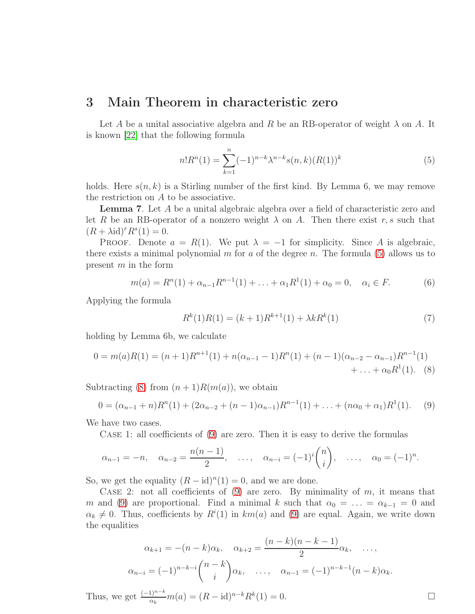### 3 Main Theorem in characteristic zero

Let A be a unital associative algebra and R be an RB-operator of weight  $\lambda$  on A. It is known [\[22\]](#page-21-3) that the following formula

<span id="page-5-0"></span>
$$
n!R^{n}(1) = \sum_{k=1}^{n} (-1)^{n-k} \lambda^{n-k} s(n,k) (R(1))^{k}
$$
 (5)

holds. Here  $s(n, k)$  is a Stirling number of the first kind. By Lemma 6, we may remove the restriction on A to be associative.

Lemma 7. Let A be a unital algebraic algebra over a field of characteristic zero and let R be an RB-operator of a nonzero weight  $\lambda$  on A. Then there exist r, s such that  $(R + \lambda \mathrm{id})^r R^s(1) = 0.$ 

PROOF. Denote  $a = R(1)$ . We put  $\lambda = -1$  for simplicity. Since A is algebraic, there exists a minimal polynomial m for a of the degree n. The formula  $(5)$  allows us to present m in the form

$$
m(a) = R^{n}(1) + \alpha_{n-1}R^{n-1}(1) + \ldots + \alpha_1R^{1}(1) + \alpha_0 = 0, \quad \alpha_i \in F.
$$
 (6)

Applying the formula

<span id="page-5-3"></span>
$$
R^{k}(1)R(1) = (k+1)R^{k+1}(1) + \lambda k R^{k}(1)
$$
\n(7)

holding by Lemma 6b, we calculate

$$
0 = m(a)R(1) = (n+1)R^{n+1}(1) + n(\alpha_{n-1} - 1)R^n(1) + (n-1)(\alpha_{n-2} - \alpha_{n-1})R^{n-1}(1) + \dots + \alpha_0 R^1(1). \tag{8}
$$

Subtracting [\(8\)](#page-5-1) from  $(n+1)R(m(a))$ , we obtain

<span id="page-5-2"></span>
$$
0 = (\alpha_{n-1} + n)R^{n}(1) + (2\alpha_{n-2} + (n-1)\alpha_{n-1})R^{n-1}(1) + \ldots + (n\alpha_0 + \alpha_1)R^{1}(1).
$$
 (9)

We have two cases.

Case 1: all coefficients of [\(9\)](#page-5-2) are zero. Then it is easy to derive the formulas

$$
\alpha_{n-1} = -n, \quad \alpha_{n-2} = \frac{n(n-1)}{2}, \quad \dots, \quad \alpha_{n-i} = (-1)^i \binom{n}{i}, \quad \dots, \quad \alpha_0 = (-1)^n.
$$

So, we get the equality  $(R - id)^n(1) = 0$ , and we are done.

CASE 2: not all coefficients of  $(9)$  are zero. By minimality of m, it means that m and [\(9\)](#page-5-2) are proportional. Find a minimal k such that  $\alpha_0 = \ldots = \alpha_{k-1} = 0$  and  $\alpha_k \neq 0$ . Thus, coefficients by  $R^i(1)$  in  $km(a)$  and [\(9\)](#page-5-2) are equal. Again, we write down the equalities

$$
\alpha_{k+1} = -(n-k)\alpha_k, \quad \alpha_{k+2} = \frac{(n-k)(n-k-1)}{2}\alpha_k, \quad \dots, \n\alpha_{n-i} = (-1)^{n-k-i} \binom{n-k}{i} \alpha_k, \quad \dots, \quad \alpha_{n-1} = (-1)^{n-k-1} (n-k)\alpha_k.
$$

Thus, we get  $\frac{(-1)^{n-k}}{\alpha_k} m(a) = (R - \mathrm{id})^{n-k} R^k(1) = 0.$ 

<span id="page-5-1"></span>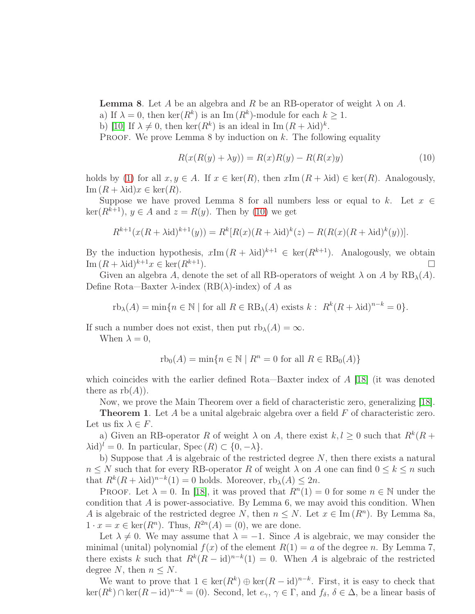**Lemma 8.** Let A be an algebra and R be an RB-operator of weight  $\lambda$  on A.

a) If  $\lambda = 0$ , then ker $(R^k)$  is an Im  $(R^k)$ -module for each  $k \geq 1$ .

b) [\[10\]](#page-20-12) If  $\lambda \neq 0$ , then ker $(R^k)$  is an ideal in Im  $(R + \lambda id)^k$ .

PROOF. We prove Lemma 8 by induction on  $k$ . The following equality

<span id="page-6-0"></span>
$$
R(x(R(y) + \lambda y)) = R(x)R(y) - R(R(x)y)
$$
\n(10)

holds by [\(1\)](#page-0-0) for all  $x, y \in A$ . If  $x \in \text{ker}(R)$ , then  $x \text{Im}(R + \lambda id) \in \text{ker}(R)$ . Analogously,  $\text{Im}(R + \lambda \text{id})x \in \text{ker}(R)$ .

Suppose we have proved Lemma 8 for all numbers less or equal to k. Let  $x \in$  $\ker(R^{k+1}), y \in A$  and  $z = R(y)$ . Then by [\(10\)](#page-6-0) we get

$$
R^{k+1}(x(R + \lambda \mathrm{id})^{k+1}(y)) = R^k[R(x)(R + \lambda \mathrm{id})^k(z) - R(R(x)(R + \lambda \mathrm{id})^k(y))].
$$

By the induction hypothesis,  $x \text{Im}(R + \lambda \text{id})^{k+1} \in \text{ker}(R^{k+1})$ . Analogously, we obtain Im  $(R + \lambda \mathrm{id})^{k+1}x \in \mathrm{ker}(R^{k+1}).$ 

Given an algebra A, denote the set of all RB-operators of weight  $\lambda$  on A by  $RB_{\lambda}(A)$ . Define Rota—Baxter  $\lambda$ -index (RB( $\lambda$ )-index) of A as

 $\text{rb}_\lambda(A) = \min\{n \in \mathbb{N} \mid \text{for all } R \in \text{RB}_\lambda(A) \text{ exists } k : R^k(R + \lambda \text{id})^{n-k} = 0\}.$ 

If such a number does not exist, then put  $rb_{\lambda}(A) = \infty$ .

When  $\lambda = 0$ ,

$$
rb_0(A) = \min\{n \in \mathbb{N} \mid R^n = 0 \text{ for all } R \in \text{RB}_0(A)\}\
$$

which coincides with the earlier defined Rota—Baxter index of A [\[18\]](#page-21-9) (it was denoted there as  $rb(A)$ .

Now, we prove the Main Theorem over a field of characteristic zero, generalizing [\[18\]](#page-21-9).

**Theorem 1.** Let A be a unital algebraic algebra over a field  $F$  of characteristic zero. Let us fix  $\lambda \in F$ .

a) Given an RB-operator R of weight  $\lambda$  on A, there exist  $k, l \geq 0$  such that  $R^k(R + \lambda)$  $\lambda$ id)<sup>l</sup> = 0. In particular, Spec (R) ⊂ {0, - $\lambda$ }.

b) Suppose that  $A$  is algebraic of the restricted degree  $N$ , then there exists a natural  $n \leq N$  such that for every RB-operator R of weight  $\lambda$  on A one can find  $0 \leq k \leq n$  such that  $R^k(R + \lambda id)^{n-k}(1) = 0$  holds. Moreover,  $rb_\lambda(A) \leq 2n$ .

PROOF. Let  $\lambda = 0$ . In [\[18\]](#page-21-9), it was proved that  $R^{n}(1) = 0$  for some  $n \in \mathbb{N}$  under the condition that  $A$  is power-associative. By Lemma  $6$ , we may avoid this condition. When A is algebraic of the restricted degree N, then  $n \leq N$ . Let  $x \in \text{Im}(R^n)$ . By Lemma 8a,  $1 \cdot x = x \in \text{ker}(R^n)$ . Thus,  $R^{2n}(A) = (0)$ , we are done.

Let  $\lambda \neq 0$ . We may assume that  $\lambda = -1$ . Since A is algebraic, we may consider the minimal (unital) polynomial  $f(x)$  of the element  $R(1) = a$  of the degree n. By Lemma 7, there exists k such that  $R^k(R - id)^{n-k}(1) = 0$ . When A is algebraic of the restricted degree N, then  $n \leq N$ .

We want to prove that  $1 \in \ker(R^k) \oplus \ker(R - id)^{n-k}$ . First, it is easy to check that  $\ker(R^k) \cap \ker(R - id)^{n-k} = (0)$ . Second, let  $e_\gamma, \gamma \in \Gamma$ , and  $f_\delta, \delta \in \Delta$ , be a linear basis of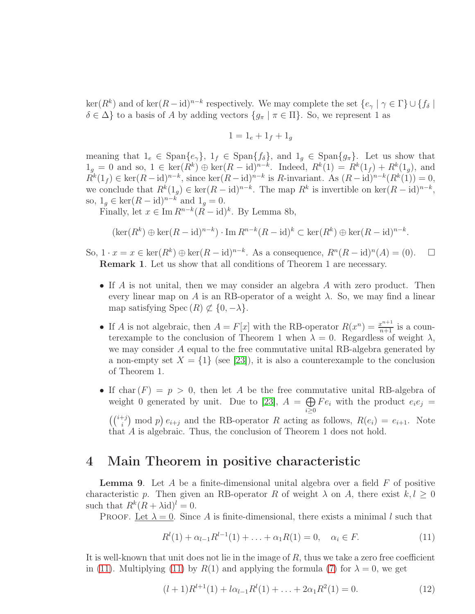$\ker(R^k)$  and of  $\ker(R - id)^{n-k}$  respectively. We may complete the set  $\{e_\gamma \mid \gamma \in \Gamma\} \cup \{f_\delta \mid \delta\}$  $\delta \in \Delta$  to a basis of A by adding vectors  $\{g_{\pi} \mid \pi \in \Pi\}$ . So, we represent 1 as

$$
1 = 1_e + 1_f + 1_g
$$

meaning that  $1_e \in \text{Span}\{e_\gamma\}$ ,  $1_f \in \text{Span}\{f_\delta\}$ , and  $1_g \in \text{Span}\{g_\pi\}$ . Let us show that  $1_g = 0$  and so,  $1 \in \text{ker}(R^k) \oplus \text{ker}(R - \text{id})^{n-k}$ . Indeed,  $R^k(1) = R^k(1_f) + R^k(1_g)$ , and  $R^{k}(1_f) \in \ker(R - \mathrm{id})^{n-k}$ , since  $\ker(R - \mathrm{id})^{n-k}$  is R-invariant. As  $(R - \mathrm{id})^{n-k}(R^{k}(1)) = 0$ , we conclude that  $R^k(1_g) \in \text{ker}(R - \text{id})^{n-k}$ . The map  $R^k$  is invertible on  $\text{ker}(R - \text{id})^{n-k}$ , so,  $1_g \in \ker(R - \mathrm{id})^{n-k}$  and  $1_g = 0$ .

Finally, let  $x \in \text{Im } R^{n-k}(R - \text{id})^k$ . By Lemma 8b,

$$
(\ker(R^k) \oplus \ker(R - id)^{n-k}) \cdot \operatorname{Im} R^{n-k}(R - id)^k \subset \ker(R^k) \oplus \ker(R - id)^{n-k}.
$$

So,  $1 \cdot x = x \in \text{ker}(R^k) \oplus \text{ker}(R - \text{id})^{n-k}$ . As a consequence,  $R^n(R - \text{id})^n(A) = (0)$ .  $\Box$ Remark 1. Let us show that all conditions of Theorem 1 are necessary.

- If A is not unital, then we may consider an algebra A with zero product. Then every linear map on A is an RB-operator of a weight  $\lambda$ . So, we may find a linear map satisfying Spec  $(R) \not\subset \{0, -\lambda\}.$
- If A is not algebraic, then  $A = F[x]$  with the RB-operator  $R(x^n) = \frac{x^{n+1}}{n+1}$  is a counterexample to the conclusion of Theorem 1 when  $\lambda = 0$ . Regardless of weight  $\lambda$ , we may consider A equal to the free commutative unital RB-algebra generated by a non-empty set  $X = \{1\}$  (see [\[23\]](#page-21-4)), it is also a counterexample to the conclusion of Theorem 1.
- If char( $F$ ) = p > 0, then let A be the free commutative unital RB-algebra of weight 0 generated by unit. Due to [\[23\]](#page-21-4),  $A = \bigoplus$  $i \geq 0$  $Fe_i$  with the product  $e_i e_j =$  $\left(\binom{i+j}{i} \mod p\right) e_{i+j}$  and the RB-operator R acting as follows,  $R(e_i) = e_{i+1}$ . Note that A is algebraic. Thus, the conclusion of Theorem 1 does not hold.

### 4 Main Theorem in positive characteristic

**Lemma 9.** Let A be a finite-dimensional unital algebra over a field  $F$  of positive characteristic p. Then given an RB-operator R of weight  $\lambda$  on A, there exist  $k, l \geq 0$ such that  $R^k(R + \lambda id)^l = 0$ .

PROOF. Let  $\lambda = 0$ . Since A is finite-dimensional, there exists a minimal l such that

<span id="page-7-0"></span>
$$
R^{l}(1) + \alpha_{l-1} R^{l-1}(1) + \ldots + \alpha_1 R(1) = 0, \quad \alpha_i \in F.
$$
 (11)

It is well-known that unit does not lie in the image of  $R$ , thus we take a zero free coefficient in [\(11\)](#page-7-0). Multiplying (11) by  $R(1)$  and applying the formula [\(7\)](#page-5-3) for  $\lambda = 0$ , we get

<span id="page-7-1"></span>
$$
(l+1)R^{l+1}(1) + l\alpha_{l-1}R^{l}(1) + \ldots + 2\alpha_1R^2(1) = 0.
$$
 (12)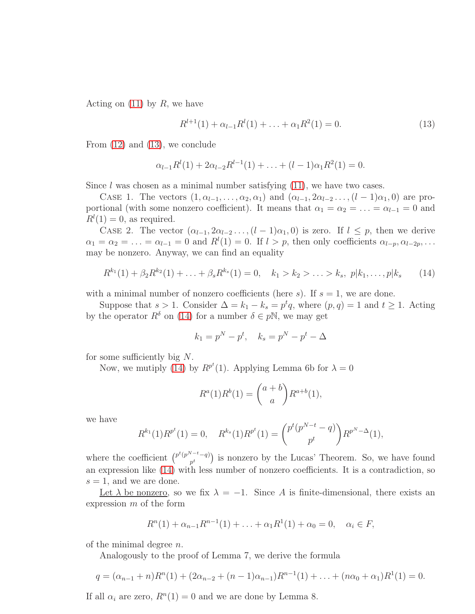Acting on  $(11)$  by R, we have

<span id="page-8-0"></span>
$$
R^{l+1}(1) + \alpha_{l-1}R^{l}(1) + \ldots + \alpha_1R^{2}(1) = 0.
$$
 (13)

From [\(12\)](#page-7-1) and [\(13\)](#page-8-0), we conclude

$$
\alpha_{l-1}R^{l}(1) + 2\alpha_{l-2}R^{l-1}(1) + \ldots + (l-1)\alpha_1R^2(1) = 0.
$$

Since l was chosen as a minimal number satisfying  $(11)$ , we have two cases.

CASE 1. The vectors  $(1, \alpha_{l-1}, \ldots, \alpha_2, \alpha_1)$  and  $(\alpha_{l-1}, 2\alpha_{l-2}, \ldots, (l-1)\alpha_1, 0)$  are proportional (with some nonzero coefficient). It means that  $\alpha_1 = \alpha_2 = \ldots = \alpha_{l-1} = 0$  and  $R^l(1)=0$ , as required.

CASE 2. The vector  $(\alpha_{l-1}, 2\alpha_{l-2}, \ldots, (l-1)\alpha_1, 0)$  is zero. If  $l \leq p$ , then we derive  $\alpha_1 = \alpha_2 = \ldots = \alpha_{l-1} = 0$  and  $R^l(1) = 0$ . If  $l > p$ , then only coefficients  $\alpha_{l-p}, \alpha_{l-2p}, \ldots$ may be nonzero. Anyway, we can find an equality

<span id="page-8-1"></span>
$$
R^{k_1}(1) + \beta_2 R^{k_2}(1) + \ldots + \beta_s R^{k_s}(1) = 0, \quad k_1 > k_2 > \ldots > k_s, \quad p|k_1, \ldots, p|k_s \qquad (14)
$$

with a minimal number of nonzero coefficients (here s). If  $s = 1$ , we are done.

Suppose that  $s > 1$ . Consider  $\Delta = k_1 - k_s = p^t q$ , where  $(p, q) = 1$  and  $t \ge 1$ . Acting by the operator  $R^{\delta}$  on [\(14\)](#page-8-1) for a number  $\delta \in p\mathbb{N}$ , we may get

$$
k_1 = p^N - p^t
$$
,  $k_s = p^N - p^t - \Delta$ 

for some sufficiently big  $N$ .

Now, we mutiply [\(14\)](#page-8-1) by  $R^{p^t}(1)$ . Applying Lemma 6b for  $\lambda = 0$ 

$$
R^{a}(1)R^{b}(1) = {a+b \choose a} R^{a+b}(1),
$$

we have

$$
R^{k_1}(1)R^{p^t}(1) = 0, \quad R^{k_s}(1)R^{p^t}(1) = {p^t(p^{N-t} - q) \choose p^t} R^{p^N - \Delta}(1),
$$

where the coefficient  $\binom{p^t(p^{N-t}-q)}{p^t}$  $\binom{S^{n-1}-q}{p^t}$  is nonzero by the Lucas' Theorem. So, we have found an expression like [\(14\)](#page-8-1) with less number of nonzero coefficients. It is a contradiction, so  $s = 1$ , and we are done.

Let  $\lambda$  be nonzero, so we fix  $\lambda = -1$ . Since A is finite-dimensional, there exists an expression  $m$  of the form

$$
R^{n}(1) + \alpha_{n-1}R^{n-1}(1) + \ldots + \alpha_1R^{1}(1) + \alpha_0 = 0, \quad \alpha_i \in F,
$$

of the minimal degree  $n$ .

Analogously to the proof of Lemma 7, we derive the formula

$$
q = (\alpha_{n-1} + n)R^{n}(1) + (2\alpha_{n-2} + (n-1)\alpha_{n-1})R^{n-1}(1) + \ldots + (n\alpha_0 + \alpha_1)R^{1}(1) = 0.
$$

If all  $\alpha_i$  are zero,  $R^n(1) = 0$  and we are done by Lemma 8.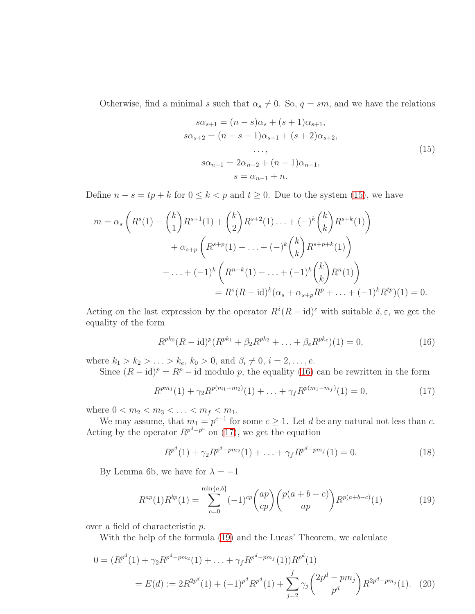Otherwise, find a minimal s such that  $\alpha_s \neq 0$ . So,  $q = sm$ , and we have the relations

<span id="page-9-0"></span>
$$
s\alpha_{s+1} = (n - s)\alpha_s + (s + 1)\alpha_{s+1},
$$
  
\n
$$
s\alpha_{s+2} = (n - s - 1)\alpha_{s+1} + (s + 2)\alpha_{s+2},
$$
  
\n...  
\n
$$
s\alpha_{n-1} = 2\alpha_{n-2} + (n - 1)\alpha_{n-1},
$$
  
\n
$$
s = \alpha_{n-1} + n.
$$
  
\n(15)

Define  $n - s = tp + k$  for  $0 \le k < p$  and  $t \ge 0$ . Due to the system [\(15\)](#page-9-0), we have

$$
m = \alpha_s \left( R^s(1) - {k \choose 1} R^{s+1}(1) + {k \choose 2} R^{s+2}(1) \dots + (-)^k {k \choose k} R^{s+k}(1) \right)
$$
  
+ 
$$
\alpha_{s+p} \left( R^{s+p}(1) - \dots + (-)^k {k \choose k} R^{s+p+k}(1) \right)
$$
  
+ 
$$
\dots + (-1)^k \left( R^{n-k}(1) - \dots + (-1)^k {k \choose k} R^n(1) \right)
$$
  
= 
$$
R^s (R - \mathrm{id})^k (\alpha_s + \alpha_{s+p} R^p + \dots + (-1)^k R^{tp})(1) = 0.
$$

Acting on the last expression by the operator  $R^{\delta}(R - id)^{\epsilon}$  with suitable  $\delta, \epsilon$ , we get the equality of the form

<span id="page-9-1"></span>
$$
R^{pk_0}(R - id)^p(R^{pk_1} + \beta_2 R^{pk_2} + \ldots + \beta_e R^{pk_e})(1) = 0,
$$
\n(16)

where  $k_1 > k_2 > \ldots > k_e, k_0 > 0$ , and  $\beta_i \neq 0, i = 2, \ldots, e$ .

Since 
$$
(R - id)^p = R^p - id
$$
 modulo p, the equality (16) can be rewritten in the form

<span id="page-9-2"></span>
$$
R^{pm_1}(1) + \gamma_2 R^{p(m_1 - m_2)}(1) + \ldots + \gamma_f R^{p(m_1 - m_f)}(1) = 0,
$$
\n(17)

where  $0 < m_2 < m_3 < \ldots < m_f < m_1$ .

We may assume, that  $m_1 = p^{c-1}$  for some  $c \ge 1$ . Let d be any natural not less than c. Acting by the operator  $R^{p^d-p^c}$  on [\(17\)](#page-9-2), we get the equation

$$
R^{p^d}(1) + \gamma_2 R^{p^d - pm_2}(1) + \ldots + \gamma_f R^{p^d - pm_f}(1) = 0.
$$
 (18)

By Lemma 6b, we have for  $\lambda = -1$ 

<span id="page-9-3"></span>
$$
R^{ap}(1)R^{bp}(1) = \sum_{c=0}^{\min\{a,b\}} (-1)^{cp} {ap \choose cp} {p(a+b-c) \choose ap} R^{p(a+b-c)}(1)
$$
 (19)

over a field of characteristic p.

With the help of the formula [\(19\)](#page-9-3) and the Lucas' Theorem, we calculate

$$
0 = (R^{p^d}(1) + \gamma_2 R^{p^d - pm_2}(1) + \dots + \gamma_f R^{p^d - pm_f}(1)) R^{p^d}(1)
$$
  
=  $E(d) := 2R^{2p^d}(1) + (-1)^{p^d} R^{p^d}(1) + \sum_{j=2}^f \gamma_j {2p^d - pm_j \choose p^d} R^{2p^d - pm_j}(1).$  (20)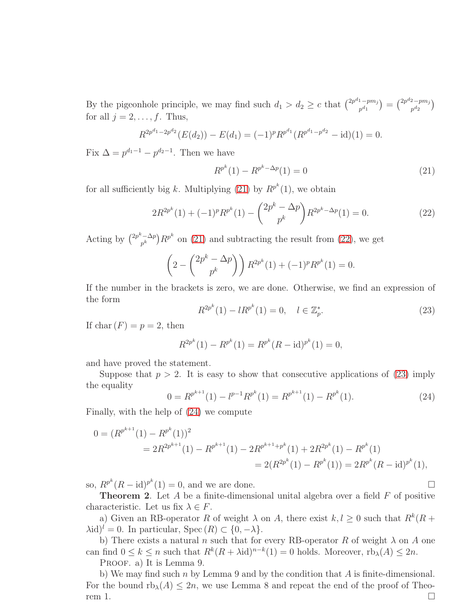By the pigeonhole principle, we may find such  $d_1 > d_2 \geq c$  that  $\binom{2p^{d_1}-pm_j}{p^{d_1}}$  $\binom{1-pm_j}{p^{d_1}} = \binom{2p^{d_2}-pm_j}{p^{d_2}}$  $\binom{2-pm_j}{p^{d_2}}$ for all  $j = 2, \ldots, f$ . Thus,

$$
R^{2p^{d_1}-2p^{d_2}}(E(d_2)) - E(d_1) = (-1)^p R^{p^{d_1}}(R^{p^{d_1}-p^{d_2}} - \mathrm{id})(1) = 0.
$$

Fix  $\Delta = p^{d_1 - 1} - p^{d_2 - 1}$ . Then we have

<span id="page-10-0"></span>
$$
R^{p^k}(1) - R^{p^k - \Delta p}(1) = 0
$$
\n(21)

for all sufficiently big k. Multiplying [\(21\)](#page-10-0) by  $R^{p^k}(1)$ , we obtain

<span id="page-10-1"></span>
$$
2R^{2p^k}(1) + (-1)^p R^{p^k}(1) - {2p^k - \Delta p \choose p^k} R^{2p^k - \Delta p}(1) = 0.
$$
 (22)

Acting by  $\binom{2p^k-\Delta p}{n^k}$  $\binom{n-\Delta p}{p^k}R^{p^k}$  on [\(21\)](#page-10-0) and subtracting the result from [\(22\)](#page-10-1), we get

$$
\left(2 - \binom{2p^k - \Delta p}{p^k}\right) R^{2p^k}(1) + (-1)^p R^{p^k}(1) = 0.
$$

If the number in the brackets is zero, we are done. Otherwise, we find an expression of the form

<span id="page-10-2"></span>
$$
R^{2p^k}(1) - lR^{p^k}(1) = 0, \quad l \in \mathbb{Z}_p^*.
$$
 (23)

If char  $(F) = p = 2$ , then

$$
R^{2p^k}(1) - R^{p^k}(1) = R^{p^k}(R - \mathrm{id})^{p^k}(1) = 0,
$$

and have proved the statement.

Suppose that  $p > 2$ . It is easy to show that consecutive applications of [\(23\)](#page-10-2) imply the equality

<span id="page-10-3"></span>
$$
0 = R^{p^{k+1}}(1) - l^{p-1}R^{p^k}(1) = R^{p^{k+1}}(1) - R^{p^k}(1).
$$
\n(24)

Finally, with the help of [\(24\)](#page-10-3) we compute

$$
0 = (R^{p^{k+1}}(1) - R^{p^k}(1))^2
$$
  
=  $2R^{2p^{k+1}}(1) - R^{p^{k+1}}(1) - 2R^{p^{k+1}+p^k}(1) + 2R^{2p^k}(1) - R^{p^k}(1)$   
=  $2(R^{2p^k}(1) - R^{p^k}(1)) = 2R^{p^k}(R - id)^{p^k}(1),$ 

so,  $R^{p^k}(R - id)^{p^k}(1) = 0$ , and we are done.

**Theorem 2.** Let A be a finite-dimensional unital algebra over a field  $F$  of positive characteristic. Let us fix  $\lambda \in F$ .

a) Given an RB-operator R of weight  $\lambda$  on A, there exist  $k, l \geq 0$  such that  $R^k(R + \lambda)$  $\lambda$ id)<sup>l</sup> = 0. In particular, Spec (R) ⊂ {0, - $\lambda$ }.

b) There exists a natural n such that for every RB-operator R of weight  $\lambda$  on A one can find  $0 \leq k \leq n$  such that  $R^k(R + \lambda id)^{n-k}(1) = 0$  holds. Moreover,  $rb_\lambda(A) \leq 2n$ .

PROOF. a) It is Lemma 9.

b) We may find such n by Lemma 9 and by the condition that  $A$  is finite-dimensional. For the bound  $rb_{\lambda}(A) \leq 2n$ , we use Lemma 8 and repeat the end of the proof of Theorem 1. rem 1.  $\Box$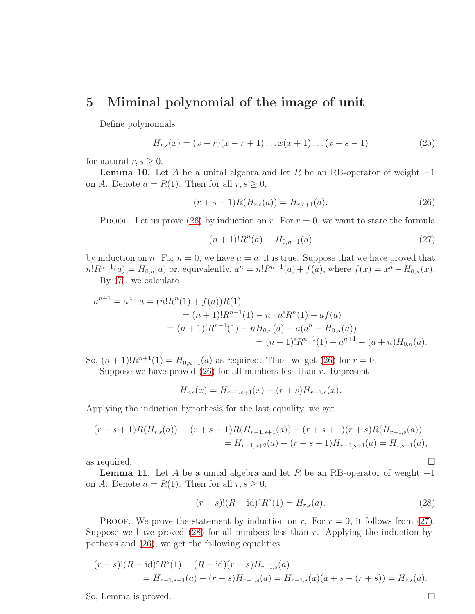## 5 Miminal polynomial of the image of unit

Define polynomials

$$
H_{r,s}(x) = (x - r)(x - r + 1) \dots x(x + 1) \dots (x + s - 1)
$$
\n(25)

for natural  $r, s \geq 0$ .

**Lemma 10.** Let A be a unital algebra and let R be an RB-operator of weight  $-1$ on A. Denote  $a = R(1)$ . Then for all  $r, s \geq 0$ ,

<span id="page-11-0"></span>
$$
(r+s+1)R(H_{r,s}(a)) = H_{r,s+1}(a). \tag{26}
$$

PROOF. Let us prove [\(26\)](#page-11-0) by induction on r. For  $r = 0$ , we want to state the formula

<span id="page-11-1"></span>
$$
(n+1)!Rn(a) = H0,n+1(a)
$$
\n(27)

by induction on n. For  $n = 0$ , we have  $a = a$ , it is true. Suppose that we have proved that  $n!R^{n-1}(a) = H_{0,n}(a)$  or, equivalently,  $a^n = n!R^{n-1}(a) + f(a)$ , where  $f(x) = x^n - H_{0,n}(x)$ . By [\(7\)](#page-5-3), we calculate

$$
a^{n+1} = a^n \cdot a = (n!R^n(1) + f(a))R(1)
$$
  
= (n + 1)!R<sup>n+1</sup>(1) – n · n!R<sup>n</sup>(1) + af(a)  
= (n + 1)!R<sup>n+1</sup>(1) – nH<sub>0,n</sub>(a) + a(a<sup>n</sup> – H<sub>0,n</sub>(a))  
= (n + 1)!R<sup>n+1</sup>(1) + a<sup>n+1</sup> – (a + n)H<sub>0,n</sub>(a).

So,  $(n + 1)!R^{n+1}(1) = H_{0,n+1}(a)$  as required. Thus, we get [\(26\)](#page-11-0) for  $r = 0$ .

Suppose we have proved  $(26)$  for all numbers less than r. Represent

$$
H_{r,s}(x) = H_{r-1,s+1}(x) - (r+s)H_{r-1,s}(x).
$$

Applying the induction hypothesis for the last equality, we get

$$
(r+s+1)R(H_{r,s}(a)) = (r+s+1)R(H_{r-1,s+1}(a)) - (r+s+1)(r+s)R(H_{r-1,s}(a))
$$
  
= H\_{r-1,s+2}(a) - (r+s+1)H\_{r-1,s+1}(a) = H\_{r,s+1}(a),

as required.  $\Box$ 

**Lemma 11.** Let A be a unital algebra and let R be an RB-operator of weight  $-1$ on A. Denote  $a = R(1)$ . Then for all  $r, s \geq 0$ ,

<span id="page-11-2"></span>
$$
(r+s)!(R-\mathrm{id})^r R^s(1) = H_{r,s}(a). \tag{28}
$$

PROOF. We prove the statement by induction on r. For  $r = 0$ , it follows from [\(27\)](#page-11-1). Suppose we have proved  $(28)$  for all numbers less than r. Applying the induction hypothesis and [\(26\)](#page-11-0), we get the following equalities

$$
(r+s)!(R-\mathrm{id})^r R^s(1) = (R-\mathrm{id})(r+s)H_{r-1,s}(a)
$$
  
= H\_{r-1,s+1}(a) - (r+s)H\_{r-1,s}(a) = H\_{r-1,s}(a)(a+s-(r+s)) = H\_{r,s}(a).

So, Lemma is proved.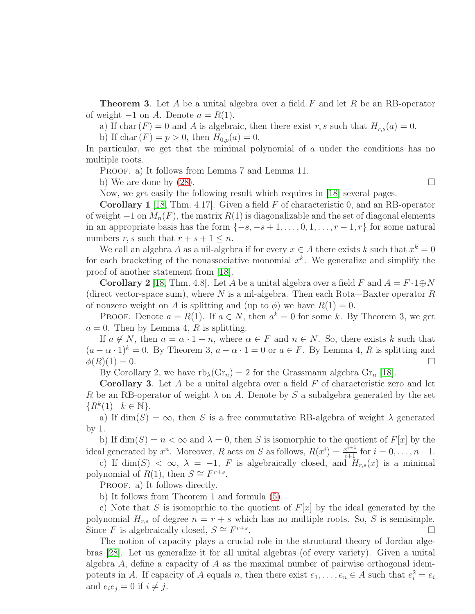**Theorem 3.** Let A be a unital algebra over a field F and let R be an RB-operator of weight  $-1$  on A. Denote  $a = R(1)$ .

a) If char( $F$ ) = 0 and A is algebraic, then there exist r, s such that  $H_{r,s}(a) = 0$ .

b) If char  $(F) = p > 0$ , then  $H_{0,p}(a) = 0$ .

In particular, we get that the minimal polynomial of  $a$  under the conditions has no multiple roots.

PROOF. a) It follows from Lemma 7 and Lemma 11.

b) We are done by  $(28)$ .

Now, we get easily the following result which requires in [\[18\]](#page-21-9) several pages.

**Corollary 1** [\[18,](#page-21-9) Thm. 4.17]. Given a field  $F$  of characteristic 0, and an RB-operator of weight  $-1$  on  $M_n(F)$ , the matrix  $R(1)$  is diagonalizable and the set of diagonal elements in an appropriate basis has the form  $\{-s, -s+1, \ldots, 0, 1, \ldots, r-1, r\}$  for some natural numbers r, s such that  $r + s + 1 \leq n$ .

We call an algebra A as a nil-algebra if for every  $x \in A$  there exists k such that  $x^k = 0$ for each bracketing of the nonassociative monomial  $x<sup>k</sup>$ . We generalize and simplify the proof of another statement from [\[18\]](#page-21-9).

**Corollary 2** [\[18,](#page-21-9) Thm. 4.8]. Let A be a unital algebra over a field F and  $A = F \cdot 1 \oplus N$ (direct vector-space sum), where N is a nil-algebra. Then each Rota—Baxter operator R of nonzero weight on A is splitting and (up to  $\phi$ ) we have  $R(1) = 0$ .

PROOF. Denote  $a = R(1)$ . If  $a \in N$ , then  $a^k = 0$  for some k. By Theorem 3, we get  $a = 0$ . Then by Lemma 4, R is splitting.

If  $a \notin N$ , then  $a = \alpha \cdot 1 + n$ , where  $\alpha \in F$  and  $n \in N$ . So, there exists k such that  $(a - \alpha \cdot 1)^k = 0$ . By Theorem 3,  $a - \alpha \cdot 1 = 0$  or  $a \in F$ . By Lemma 4, R is splitting and  $\phi(R)(1) = 0$ .  $\phi(R)(1) = 0.$ 

By Corollary 2, we have  $rb_\lambda(Gr_n) = 2$  for the Grassmann algebra  $Gr_n$  [\[18\]](#page-21-9).

**Corollary 3.** Let  $A$  be a unital algebra over a field  $F$  of characteristic zero and let R be an RB-operator of weight  $\lambda$  on A. Denote by S a subalgebra generated by the set  ${R^k(1) | k \in \mathbb{N}}.$ 

a) If  $\dim(S) = \infty$ , then S is a free commutative RB-algebra of weight  $\lambda$  generated by 1.

b) If  $\dim(S) = n < \infty$  and  $\lambda = 0$ , then S is isomorphic to the quotient of  $F[x]$  by the ideal generated by  $x^n$ . Moreover, R acts on S as follows,  $R(x^i) = \frac{x^{i+1}}{i+1}$  for  $i = 0, \ldots, n-1$ .

c) If  $\dim(S) < \infty$ ,  $\lambda = -1$ , F is algebraically closed, and  $H_{r,s}(x)$  is a minimal polynomial of  $R(1)$ , then  $S \cong F^{r+s}$ .

PROOF. a) It follows directly.

b) It follows from Theorem 1 and formula [\(5\)](#page-5-0).

c) Note that S is isomoprhic to the quotient of  $F[x]$  by the ideal generated by the polynomial  $H_{r,s}$  of degree  $n = r + s$  which has no multiple roots. So, S is semisimple. Since F is algebraically closed,  $S \cong F^{r+s}$ .

The notion of capacity plays a crucial role in the structural theory of Jordan algebras [\[28\]](#page-21-14). Let us generalize it for all unital algebras (of every variety). Given a unital algebra  $A$ , define a capacity of  $A$  as the maximal number of pairwise orthogonal idempotents in A. If capacity of A equals n, then there exist  $e_1, \ldots, e_n \in A$  such that  $e_i^2 = e_i$ and  $e_i e_j = 0$  if  $i \neq j$ .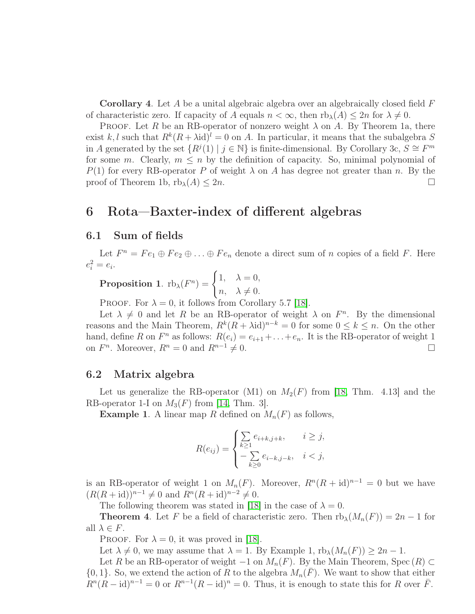**Corollary** 4. Let A be a unital algebraic algebra over an algebraically closed field  $F$ of characteristic zero. If capacity of A equals  $n < \infty$ , then  $rb_{\lambda}(A) \leq 2n$  for  $\lambda \neq 0$ .

PROOF. Let R be an RB-operator of nonzero weight  $\lambda$  on A. By Theorem 1a, there exist k, l such that  $R^k(R + \lambda id)^l = 0$  on A. In particular, it means that the subalgebra S in A generated by the set  $\{R^j(1) \mid j \in \mathbb{N}\}$  is finite-dimensional. By Corollary 3c,  $S \cong F^m$ for some m. Clearly,  $m \leq n$  by the definition of capacity. So, minimal polynomial of  $P(1)$  for every RB-operator P of weight  $\lambda$  on A has degree not greater than n. By the proof of Theorem 1b,  $rb_{\lambda}(A) \leq 2n$ .

## 6 Rota—Baxter-index of different algebras

### 6.1 Sum of fields

Let  $F^n = Fe_1 \oplus Fe_2 \oplus \ldots \oplus Fe_n$  denote a direct sum of n copies of a field F. Here  $e_i^2 = e_i.$ 

Proposition 1.  $\text{rb}_\lambda(F^n) = \begin{cases} 1, & \lambda = 0, \end{cases}$  $n, \lambda \neq 0.$ 

PROOF. For  $\lambda = 0$ , it follows from Corollary 5.7 [\[18\]](#page-21-9).

Let  $\lambda \neq 0$  and let R be an RB-operator of weight  $\lambda$  on  $F^n$ . By the dimensional reasons and the Main Theorem,  $R^k(R + \lambda id)^{n-k} = 0$  for some  $0 \leq k \leq n$ . On the other hand, define R on  $F^n$  as follows:  $R(e_i) = e_{i+1} + \ldots + e_n$ . It is the RB-operator of weight 1 on  $F^n$ . Moreover,  $R^n = 0$  and  $R^{n-1} \neq 0$ .

#### 6.2 Matrix algebra

Let us generalize the RB-operator (M1) on  $M_2(F)$  from [\[18,](#page-21-9) Thm. 4.13] and the RB-operator 1-I on  $M_3(F)$  from [\[14,](#page-20-11) Thm. 3].

**Example 1.** A linear map R defined on  $M_n(F)$  as follows,

$$
R(e_{ij}) = \begin{cases} \sum_{k\geq 1} e_{i+k,j+k}, & i \geq j, \\ -\sum_{k\geq 0} e_{i-k,j-k}, & i < j, \end{cases}
$$

is an RB-operator of weight 1 on  $M_n(F)$ . Moreover,  $R^n(R + id)^{n-1} = 0$  but we have  $(R(R + id))^{n-1} \neq 0$  and  $R^{n}(R + id)^{n-2} \neq 0$ .

The following theorem was stated in [\[18\]](#page-21-9) in the case of  $\lambda = 0$ .

**Theorem 4.** Let F be a field of characteristic zero. Then  $rb_{\lambda}(M_n(F)) = 2n - 1$  for all  $\lambda \in F$ .

PROOF. For  $\lambda = 0$ , it was proved in [\[18\]](#page-21-9).

Let  $\lambda \neq 0$ , we may assume that  $\lambda = 1$ . By Example 1,  $rb_{\lambda}(M_n(F)) \geq 2n - 1$ .

Let R be an RB-operator of weight  $-1$  on  $M_n(F)$ . By the Main Theorem, Spec  $(R) \subset$  $\{0, 1\}$ . So, we extend the action of R to the algebra  $M_n(\bar{F})$ . We want to show that either  $R^{n}(\tilde{R} - id)^{n-1} = 0$  or  $R^{n-1}(R - id)^{n} = 0$ . Thus, it is enough to state this for R over  $\bar{F}$ .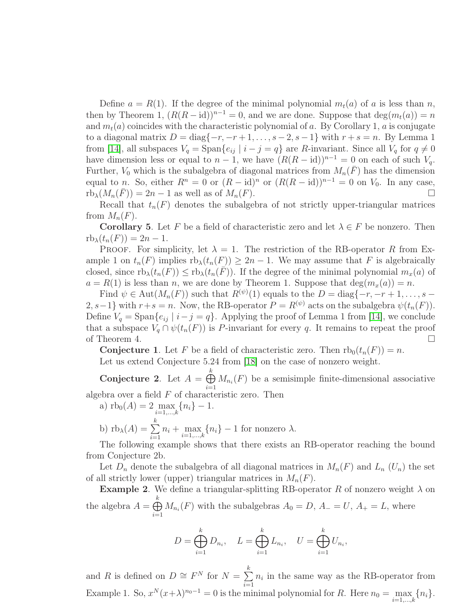Define  $a = R(1)$ . If the degree of the minimal polynomial  $m_t(a)$  of a is less than n, then by Theorem 1,  $(R(R - id))^{n-1} = 0$ , and we are done. Suppose that  $\deg(m_t(a)) = n$ and  $m_t(a)$  coincides with the characteristic polynomial of a. By Corollary 1, a is conjugate to a diagonal matrix  $D = \text{diag}\{-r, -r + 1, \ldots, s - 2, s - 1\}$  with  $r + s = n$ . By Lemma 1 from [\[14\]](#page-20-11), all subspaces  $V_q = \text{Span}\{e_{ij} | i - j = q\}$  are R-invariant. Since all  $V_q$  for  $q \neq 0$ have dimension less or equal to  $n-1$ , we have  $(R(R - id))^{n-1} = 0$  on each of such  $V_q$ . Further,  $V_0$  which is the subalgebra of diagonal matrices from  $M_n(\bar{F})$  has the dimension equal to n. So, either  $R^n = 0$  or  $(R - id)^n$  or  $(R(R - id))^{n-1} = 0$  on  $V_0$ . In any case,  $\text{rb}_{\lambda}(M_n(\overline{F})) = 2n - 1$  as well as of  $M_n(F)$ .

Recall that  $t_n(F)$  denotes the subalgebra of not strictly upper-triangular matrices from  $M_n(F)$ .

**Corollary 5.** Let F be a field of characteristic zero and let  $\lambda \in F$  be nonzero. Then  $\text{rb}_{\lambda}(t_n(F)) = 2n - 1.$ 

PROOF. For simplicity, let  $\lambda = 1$ . The restriction of the RB-operator R from Example 1 on  $t_n(F)$  implies  $rb_\lambda(t_n(F)) \geq 2n-1$ . We may assume that F is algebraically closed, since  $rb_\lambda(t_n(F)) \leq rb_\lambda(t_n(F))$ . If the degree of the minimal polynomial  $m_x(a)$  of  $a = R(1)$  is less than n, we are done by Theorem 1. Suppose that  $deg(m_x(a)) = n$ .

Find  $\psi \in \text{Aut}(M_n(F))$  such that  $R^{(\psi)}(1)$  equals to the  $D = \text{diag}\{-r, -r + 1, \ldots, s - 1\}$ 2, s−1} with  $r+s=n$ . Now, the RB-operator  $P=R^{(\psi)}$  acts on the subalgebra  $\psi(t_n(F))$ . Define  $V_q = \text{Span}\{e_{ij} | i-j = q\}$ . Applying the proof of Lemma 1 from [\[14\]](#page-20-11), we conclude that a subspace  $V_q \cap \psi(t_n(F))$  is P-invariant for every q. It remains to repeat the proof of Theorem 4.  $\Box$ 

**Conjecture 1.** Let F be a field of characteristic zero. Then  $rb_0(t_n(F)) = n$ . Let us extend Conjecture 5.24 from [\[18\]](#page-21-9) on the case of nonzero weight.

Conjecture 2. Let  $A = \bigoplus$ k  $\bigoplus_{i=1} M_{n_i}(F)$  be a semisimple finite-dimensional associative algebra over a field  $F$  of characteristic zero. Then

a) 
$$
rb_0(A) = 2 \max_{i=1,...,k} \{n_i\} - 1.
$$
  
b)  $rb_{\lambda}(A) = \sum_{i=1}^{k} n_i + \max_{i=1,...,k} \{n_i\} - 1$  for nonzero  $\lambda$ .

The following example shows that there exists an RB-operator reaching the bound from Conjecture 2b.

Let  $D_n$  denote the subalgebra of all diagonal matrices in  $M_n(F)$  and  $L_n(U_n)$  the set of all strictly lower (upper) triangular matrices in  $M_n(F)$ .

**Example 2.** We define a triangular-splitting RB-operator R of nonzero weight  $\lambda$  on the algebra  $A = \bigoplus$ k  $\bigoplus_{i=1} M_{n_i}(F)$  with the subalgebras  $A_0 = D, A_- = U, A_+ = L$ , where

$$
D = \bigoplus_{i=1}^{k} D_{n_i}, \quad L = \bigoplus_{i=1}^{k} L_{n_i}, \quad U = \bigoplus_{i=1}^{k} U_{n_i},
$$

and R is defined on  $D \cong F^N$  for  $N = \sum$ k  $i=1$  $n_i$  in the same way as the RB-operator from Example 1. So,  $x^N(x+\lambda)^{n_0-1}=0$  is the minimal polynomial for R. Here  $n_0=\max_{i=1,\dots,k} \{n_i\}.$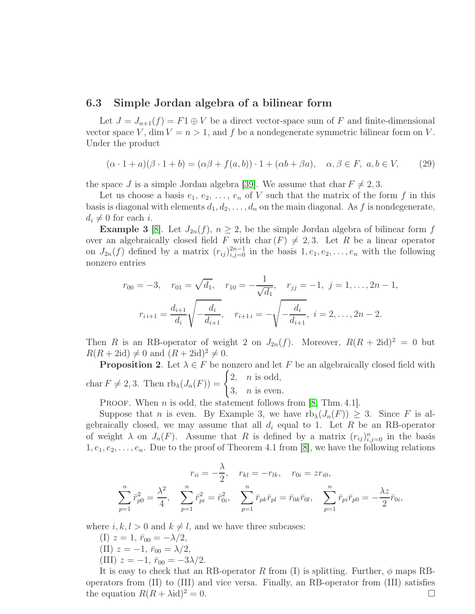#### 6.3 Simple Jordan algebra of a bilinear form

Let  $J = J_{n+1}(f) = F1 \oplus V$  be a direct vector-space sum of F and finite-dimensional vector space V, dim  $V = n > 1$ , and f be a nondegenerate symmetric bilinear form on V. Under the product

$$
(\alpha \cdot 1 + a)(\beta \cdot 1 + b) = (\alpha \beta + f(a, b)) \cdot 1 + (\alpha b + \beta a), \quad \alpha, \beta \in F, \ a, b \in V,
$$
 (29)

the space J is a simple Jordan algebra [\[39\]](#page-22-4). We assume that char  $F \neq 2, 3$ .

Let us choose a basis  $e_1, e_2, \ldots, e_n$  of V such that the matrix of the form f in this basis is diagonal with elements  $d_1, d_2, \ldots, d_n$  on the main diagonal. As f is nondegenerate,  $d_i \neq 0$  for each i.

**Example 3** [\[8\]](#page-20-10). Let  $J_{2n}(f)$ ,  $n \geq 2$ , be the simple Jordan algebra of bilinear form f over an algebraically closed field F with char(F)  $\neq$  2, 3. Let R be a linear operator on  $J_{2n}(f)$  defined by a matrix  $(r_{ij})_{i,j=0}^{2n-1}$  in the basis  $1, e_1, e_2, \ldots, e_n$  with the following nonzero entries

$$
r_{00} = -3, \quad r_{01} = \sqrt{d_1}, \quad r_{10} = -\frac{1}{\sqrt{d_1}}, \quad r_{jj} = -1, \ j = 1, \dots, 2n - 1,
$$

$$
r_{i} = \frac{d_{i+1}}{d_i} \sqrt{-\frac{d_i}{d_{i+1}}}, \quad r_{i+1} = -\sqrt{-\frac{d_i}{d_{i+1}}}, \ i = 2, \dots, 2n - 2.
$$

Then R is an RB-operator of weight 2 on  $J_{2n}(f)$ . Moreover,  $R(R + 2id)^2 = 0$  but  $R(R + 2id) \neq 0$  and  $(R + 2id)^2 \neq 0$ .

**Proposition 2.** Let  $\lambda \in F$  be nonzero and let F be an algebraically closed field with char  $F \neq 2, 3$ . Then  $\text{rb}_{\lambda}(J_n(F)) = \begin{cases} 2, & n \text{ is odd,} \\ 3, & n \text{ is even.} \end{cases}$  $3, n$  is even.

PROOF. When  $n$  is odd, the statement follows from [\[8,](#page-20-10) Thm. 4.1].

Suppose that n is even. By Example 3, we have  $rb_{\lambda}(J_n(F)) \geq 3$ . Since F is algebraically closed, we may assume that all  $d_i$  equal to 1. Let R be an RB-operator of weight  $\lambda$  on  $J_n(F)$ . Assume that R is defined by a matrix  $(r_{ij})_{i,j=0}^n$  in the basis  $1, e_1, e_2, \ldots, e_n$ . Due to the proof of Theorem 4.1 from [\[8\]](#page-20-10), we have the following relations

$$
r_{ii} = -\frac{\lambda}{2}, \quad r_{kl} = -r_{lk}, \quad r_{0i} = zr_{i0},
$$

$$
\sum_{p=1}^{n} \bar{r}_{p0}^{2} = \frac{\lambda^{2}}{4}, \quad \sum_{p=1}^{n} \bar{r}_{pi}^{2} = \bar{r}_{0i}^{2}, \quad \sum_{p=1}^{n} \bar{r}_{pk}\bar{r}_{pl} = \bar{r}_{0k}\bar{r}_{0l}, \quad \sum_{p=1}^{n} \bar{r}_{pi}\bar{r}_{p0} = -\frac{\lambda z}{2}\bar{r}_{0i},
$$

where  $i, k, l > 0$  and  $k \neq l$ , and we have three subcases:

(I)  $z = 1, \bar{r}_{00} = -\lambda/2,$ 

(II) 
$$
z = -1
$$
,  $\bar{r}_{00} = \lambda/2$ ,

(III)  $z = -1, \bar{r}_{00} = -3\lambda/2.$ 

It is easy to check that an RB-operator R from (I) is splitting. Further,  $\phi$  maps RBoperators from (II) to (III) and vice versa. Finally, an RB-operator from (III) satisfies the equation  $R(R + \lambda id)^2 = 0$ .  $2^2 = 0.$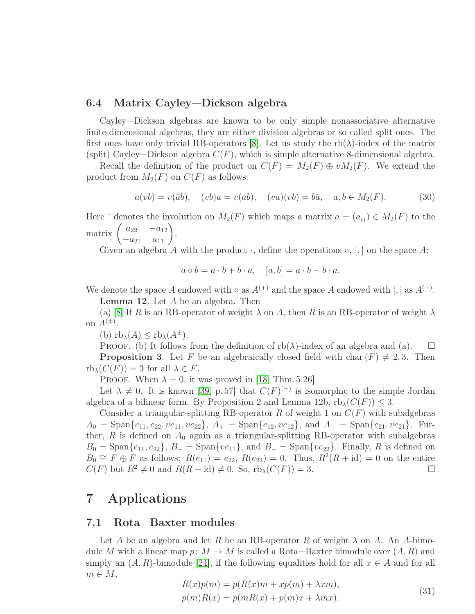#### 6.4 Matrix Cayley—Dickson algebra

Cayley—Dickson algebras are known to be only simple nonassociative alternative finite-dimensional algebras, they are either division algebras or so called split ones. The first ones have only trivial RB-operators  $|8|$ . Let us study the rb( $\lambda$ )-index of the matrix (split) Cayley—Dickson algebra  $C(F)$ , which is simple alternative 8-dimensional algebra.

Recall the definition of the product on  $C(F) = M_2(F) \oplus vM_2(F)$ . We extend the product from  $M_2(F)$  on  $C(F)$  as follows:

$$
a(vb) = v(\bar{a}b), (vb)a = v(ab), (va)(vb) = b\bar{a}, a, b \in M_2(F).
$$
 (30)

Here  $\bar{\ }$  denotes the involution on  $M_2(F)$  which maps a matrix  $a = (a_{ij}) \in M_2(F)$  to the matrix  $\begin{pmatrix} a_{22} & -a_{12} \\ -a_{21} & a_{11} \end{pmatrix}$ .

Given an algebra A with the product  $\cdot$ , define the operations  $\circ$ ,  $[$ ,  $]$  on the space A:

$$
a \circ b = a \cdot b + b \cdot a, \quad [a, b] = a \cdot b - b \cdot a.
$$

We denote the space A endowed with  $\circ$  as  $A^{(+)}$  and the space A endowed with [, ] as  $A^{(-)}$ .

**Lemma 12.** Let  $A$  be an algebra. Then

(a) [\[8\]](#page-20-10) If R is an RB-operator of weight  $\lambda$  on A, then R is an RB-operator of weight  $\lambda$ on  $A^{(\pm)}$ .

(b)  $\text{rb}_{\lambda}(A) \leq \text{rb}_{\lambda}(A^{\pm}).$ 

PROOF. (b) It follows from the definition of  $rb(\lambda)$ -index of an algebra and (a).  $\square$ **Proposition 3.** Let F be an algebraically closed field with char(F)  $\neq 2, 3$ . Then  $\text{rb}_{\lambda}(C(F)) = 3$  for all  $\lambda \in F$ .

PROOF. When  $\lambda = 0$ , it was proved in [\[18,](#page-21-9) Thm. 5.26].

Let  $\lambda \neq 0$ . It is known [\[39,](#page-22-4) p. 57] that  $C(F)^{(+)}$  is isomorphic to the simple Jordan algebra of a bilinear form. By Proposition 2 and Lemma 12b,  $rb<sub>\lambda</sub>(C(F)) < 3$ .

Consider a triangular-splitting RB-operator R of weight 1 on  $C(F)$  with subalgebras  $A_0 = \text{Span}\{e_{11}, e_{22}, ve_{11}, ve_{22}\}, A_+ = \text{Span}\{e_{12}, ve_{12}\}, \text{ and } A_- = \text{Span}\{e_{21}, ve_{21}\}.$  Further,  $R$  is defined on  $A_0$  again as a triangular-splitting RB-operator with subalgebras  $B_0 = \text{Span}\{e_{11}, e_{22}\}, B_+ = \text{Span}\{ve_{1}\}, \text{ and } B_- = \text{Span}\{ve_{22}\}.$  Finally, R is defined on  $B_0 \cong F \oplus F$  as follows:  $R(e_{11}) = e_{22}$ ,  $R(e_{22}) = 0$ . Thus,  $R^2(R + id) = 0$  on the entire  $C(F)$  but  $R^2 \neq 0$  and  $R(R + id) \neq 0$ . So,  $rb_\lambda(C(F)) = 3$ .

# 7 Applications

#### 7.1 Rota—Baxter modules

Let A be an algebra and let R be an RB-operator R of weight  $\lambda$  on A. An A-bimodule M with a linear map  $p: M \to M$  is called a Rota—Baxter bimodule over  $(A, R)$  and simply an  $(A, R)$ -bimodule [\[24\]](#page-21-15), if the following equalities hold for all  $x \in A$  and for all  $m \in M$ ,

<span id="page-16-0"></span>
$$
R(x)p(m) = p(R(x)m + xp(m) + \lambda xm),
$$
  
\n
$$
p(m)R(x) = p(mR(x) + p(m)x + \lambda mx).
$$
\n(31)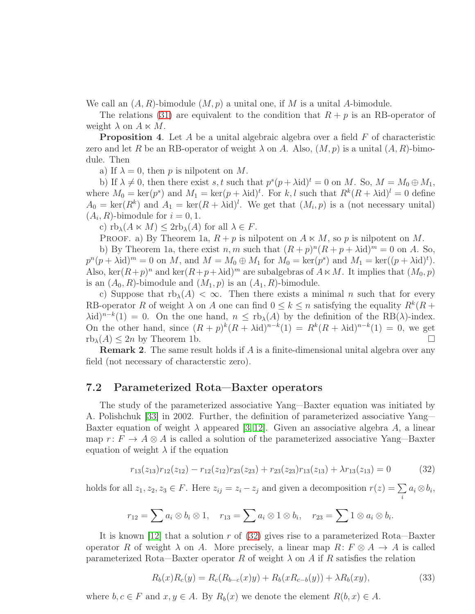We call an  $(A, R)$ -bimodule  $(M, p)$  a unital one, if M is a unital A-bimodule.

The relations [\(31\)](#page-16-0) are equivalent to the condition that  $R + p$  is an RB-operator of weight  $\lambda$  on  $A \ltimes M$ .

**Proposition** 4. Let A be a unital algebraic algebra over a field  $F$  of characteristic zero and let R be an RB-operator of weight  $\lambda$  on A. Also,  $(M, p)$  is a unital  $(A, R)$ -bimodule. Then

a) If  $\lambda = 0$ , then p is nilpotent on M.

b) If  $\lambda \neq 0$ , then there exist s, t such that  $p^{s}(p + \lambda id)^{t} = 0$  on M. So,  $M = M_0 \oplus M_1$ , where  $M_0 = \ker(p^s)$  and  $M_1 = \ker(p + \lambda id)^t$ . For k, l such that  $R^k(R + \lambda id)^l = 0$  define  $A_0 = \text{ker}(R^k)$  and  $A_1 = \text{ker}(R + \lambda \text{id})^l$ . We get that  $(M_i, p)$  is a (not necessary unital)  $(A_i, R)$ -bimodule for  $i = 0, 1$ .

c)  $\text{rb}_{\lambda}(A \ltimes M) \leq 2\text{rb}_{\lambda}(A)$  for all  $\lambda \in F$ .

PROOF. a) By Theorem 1a,  $R + p$  is nilpotent on  $A \ltimes M$ , so p is nilpotent on M.

b) By Theorem 1a, there exist n, m such that  $(R+p)^n(R+p+\lambda id)^m = 0$  on A. So,  $p^{n}(p + \lambda \mathrm{id})^{m} = 0$  on M, and  $M = M_0 \oplus M_1$  for  $M_0 = \mathrm{ker}(p^{s})$  and  $M_1 = \mathrm{ker}((p + \lambda \mathrm{id})^{t}).$ Also, ker $(R+p)^n$  and ker $(R+p+\lambda id)^m$  are subalgebras of  $A \ltimes M$ . It implies that  $(M_0, p)$ is an  $(A_0, R)$ -bimodule and  $(M_1, p)$  is an  $(A_1, R)$ -bimodule.

c) Suppose that  $rb_{\lambda}(A) < \infty$ . Then there exists a minimal n such that for every RB-operator R of weight  $\lambda$  on A one can find  $0 \leq k \leq n$  satisfying the equality  $R^k(R +$  $\lambda$ id)<sup>n-k</sup>(1) = 0. On the one hand,  $n \leq rb_{\lambda}(A)$  by the definition of the RB( $\lambda$ )-index. On the other hand, since  $(R+p)^k(R+\lambda id)^{n-k}(1) = R^k(R+\lambda id)^{n-k}(1) = 0$ , we get  $\text{rb}_\lambda(A) \leq 2n$  by Theorem 1b.

Remark 2. The same result holds if A is a finite-dimensional unital algebra over any field (not necessary of characterstic zero).

#### 7.2 Parameterized Rota—Baxter operators

The study of the parameterized associative Yang—Baxter equation was initiated by A. Polishchuk [\[33\]](#page-22-5) in 2002. Further, the definition of parameterized associative Yang— Baxter equation of weight  $\lambda$  appeared [\[3,](#page-20-15) [12\]](#page-20-5). Given an associative algebra A, a linear map  $r: F \to A \otimes A$  is called a solution of the parameterized associative Yang-Baxter equation of weight  $\lambda$  if the equation

<span id="page-17-0"></span>
$$
r_{13}(z_{13})r_{12}(z_{12}) - r_{12}(z_{12})r_{23}(z_{23}) + r_{23}(z_{23})r_{13}(z_{13}) + \lambda r_{13}(z_{13}) = 0 \tag{32}
$$

holds for all  $z_1, z_2, z_3 \in F$ . Here  $z_{ij} = z_i - z_j$  and given a decomposition  $r(z) = \sum_i a_i \otimes b_i$ ,

$$
r_{12} = \sum a_i \otimes b_i \otimes 1, \quad r_{13} = \sum a_i \otimes 1 \otimes b_i, \quad r_{23} = \sum 1 \otimes a_i \otimes b_i.
$$

It is known [\[12\]](#page-20-5) that a solution r of [\(32\)](#page-17-0) gives rise to a parameterized Rota—Baxter operator R of weight  $\lambda$  on A. More precisely, a linear map  $R: F \otimes A \to A$  is called parameterized Rota—Baxter operator R of weight  $\lambda$  on A if R satisfies the relation

<span id="page-17-1"></span>
$$
R_b(x)R_c(y) = R_c(R_{b-c}(x)y) + R_b(xR_{c-b}(y)) + \lambda R_b(xy),
$$
\n(33)

where  $b, c \in F$  and  $x, y \in A$ . By  $R_b(x)$  we denote the element  $R(b, x) \in A$ .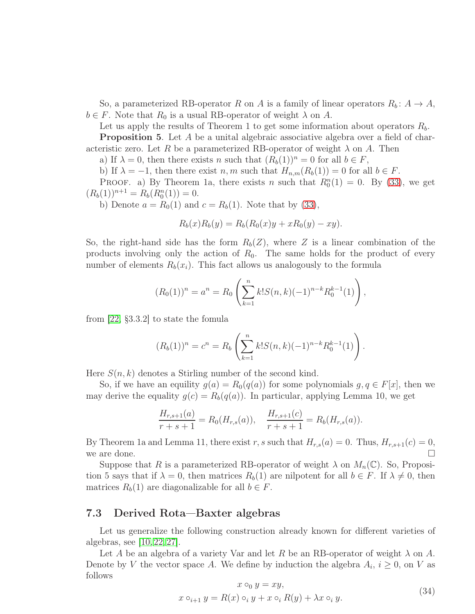So, a parameterized RB-operator R on A is a family of linear operators  $R_b: A \to A$ ,  $b \in F$ . Note that  $R_0$  is a usual RB-operator of weight  $\lambda$  on A.

Let us apply the results of Theorem 1 to get some information about operators  $R_b$ .

**Proposition 5.** Let A be a unital algebraic associative algebra over a field of characteristic zero. Let R be a parameterized RB-operator of weight  $\lambda$  on A. Then

a) If  $\lambda = 0$ , then there exists n such that  $(R_b(1))^n = 0$  for all  $b \in F$ ,

b) If  $\lambda = -1$ , then there exist n, m such that  $H_{n,m}(R_b(1)) = 0$  for all  $b \in F$ .

PROOF. a) By Theorem 1a, there exists n such that  $R_0^n(1) = 0$ . By [\(33\)](#page-17-1), we get  $(R_b(1))^{n+1} = R_b(R_0^n(1)) = 0.$ 

b) Denote  $a = R_0(1)$  and  $c = R_b(1)$ . Note that by [\(33\)](#page-17-1),

$$
R_b(x)R_b(y) = R_b(R_0(x)y + xR_0(y) - xy).
$$

So, the right-hand side has the form  $R_b(Z)$ , where Z is a linear combination of the products involving only the action of  $R_0$ . The same holds for the product of every number of elements  $R_b(x_i)$ . This fact allows us analogously to the formula

$$
(R_0(1))^n = a^n = R_0 \left( \sum_{k=1}^n k! S(n,k) (-1)^{n-k} R_0^{k-1}(1) \right),
$$

from [\[22,](#page-21-3) §3.3.2] to state the fomula

$$
(R_b(1))^n = c^n = R_b \left( \sum_{k=1}^n k! S(n,k) (-1)^{n-k} R_0^{k-1}(1) \right).
$$

Here  $S(n, k)$  denotes a Stirling number of the second kind.

So, if we have an equility  $g(a) = R_0(q(a))$  for some polynomials  $g, q \in F[x]$ , then we may derive the equality  $g(c) = R_b(q(a))$ . In particular, applying Lemma 10, we get

$$
\frac{H_{r,s+1}(a)}{r+s+1} = R_0(H_{r,s}(a)), \quad \frac{H_{r,s+1}(c)}{r+s+1} = R_b(H_{r,s}(a)).
$$

By Theorem 1a and Lemma 11, there exist r, s such that  $H_{r,s}(a) = 0$ . Thus,  $H_{r,s+1}(c) = 0$ , we are done.  $\Box$ 

Suppose that R is a parameterized RB-operator of weight  $\lambda$  on  $M_n(\mathbb{C})$ . So, Proposition 5 says that if  $\lambda = 0$ , then matrices  $R_b(1)$  are nilpotent for all  $b \in F$ . If  $\lambda \neq 0$ , then matrices  $R_b(1)$  are diagonalizable for all  $b \in F$ .

#### 7.3 Derived Rota—Baxter algebras

Let us generalize the following construction already known for different varieties of algebras, see [\[10,](#page-20-12) [22,](#page-21-3) [27\]](#page-21-11).

Let A be an algebra of a variety Var and let R be an RB-operator of weight  $\lambda$  on A. Denote by V the vector space A. We define by induction the algebra  $A_i$ ,  $i \geq 0$ , on V as follows

<span id="page-18-0"></span>
$$
x \circ_0 y = xy,
$$
  
\n
$$
x \circ_{i+1} y = R(x) \circ_i y + x \circ_i R(y) + \lambda x \circ_i y.
$$
\n(34)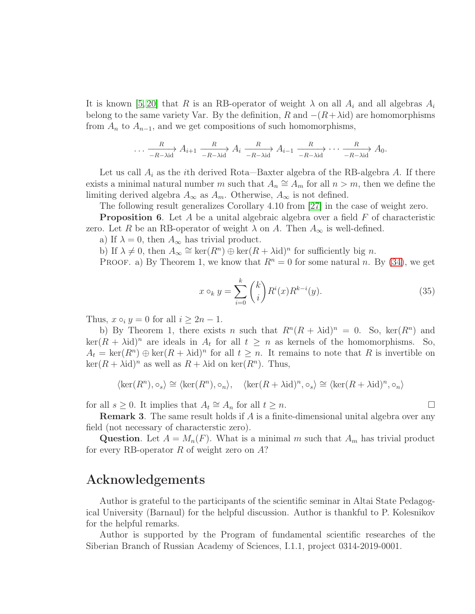It is known [\[5,](#page-20-7) [20\]](#page-21-2) that R is an RB-operator of weight  $\lambda$  on all  $A_i$  and all algebras  $A_i$ belong to the same variety Var. By the definition, R and  $-(R+\lambda id)$  are homomorphisms from  $A_n$  to  $A_{n-1}$ , and we get compositions of such homomorphisms,

$$
\ldots \xrightarrow[n]{R} A_{i+1} \xrightarrow[n]{R} A_i \xrightarrow[n]{R} A_i \xrightarrow[n]{R} A_{i-1} \xrightarrow[n]{R} \cdots \xrightarrow[n]{R} A_0.
$$

Let us call  $A_i$  as the *i*th derived Rota—Baxter algebra of the RB-algebra  $A$ . If there exists a minimal natural number m such that  $A_n \cong A_m$  for all  $n > m$ , then we define the limiting derived algebra  $A_{\infty}$  as  $A_m$ . Otherwise,  $A_{\infty}$  is not defined.

The following result generalizes Corollary 4.10 from [\[27\]](#page-21-11) in the case of weight zero.

**Proposition 6.** Let A be a unital algebraic algebra over a field  $F$  of characteristic zero. Let R be an RB-operator of weight  $\lambda$  on A. Then  $A_{\infty}$  is well-defined.

a) If  $\lambda = 0$ , then  $A_{\infty}$  has trivial product.

b) If  $\lambda \neq 0$ , then  $A_{\infty} \cong \ker(R^n) \oplus \ker(R + \lambda id)^n$  for sufficiently big n.

PROOF. a) By Theorem 1, we know that  $R^n = 0$  for some natural n. By [\(34\)](#page-18-0), we get

$$
x \circ_k y = \sum_{i=0}^k {k \choose i} R^i(x) R^{k-i}(y).
$$
 (35)

Thus,  $x \circ_i y = 0$  for all  $i \geq 2n - 1$ .

b) By Theorem 1, there exists n such that  $R^{n}(R + \lambda id)^{n} = 0$ . So, ker $(R^{n})$  and  $\ker(R + \lambda id)^n$  are ideals in  $A_t$  for all  $t \geq n$  as kernels of the homomorphisms. So,  $A_t = \ker(R^n) \oplus \ker(R + \lambda id)^n$  for all  $t \geq n$ . It remains to note that R is invertible on  $\ker(R + \lambda id)^n$  as well as  $R + \lambda id$  on  $\ker(R^n)$ . Thus,

$$
\langle \ker(R^n), \circ_s \rangle \cong \langle \ker(R^n), \circ_n \rangle
$$
,  $\langle \ker(R + \lambda id)^n, \circ_s \rangle \cong \langle \ker(R + \lambda id)^n, \circ_n \rangle$ 

for all  $s \geq 0$ . It implies that  $A_t \cong A_n$  for all  $t \geq n$ .

**Remark 3.** The same result holds if A is a finite-dimensional unital algebra over any field (not necessary of characterstic zero).

**Question**. Let  $A = M_n(F)$ . What is a minimal m such that  $A_m$  has trivial product for every RB-operator  $R$  of weight zero on  $A$ ?

### Acknowledgements

Author is grateful to the participants of the scientific seminar in Altai State Pedagogical University (Barnaul) for the helpful discussion. Author is thankful to P. Kolesnikov for the helpful remarks.

Author is supported by the Program of fundamental scientific researches of the Siberian Branch of Russian Academy of Sciences, I.1.1, project 0314-2019-0001.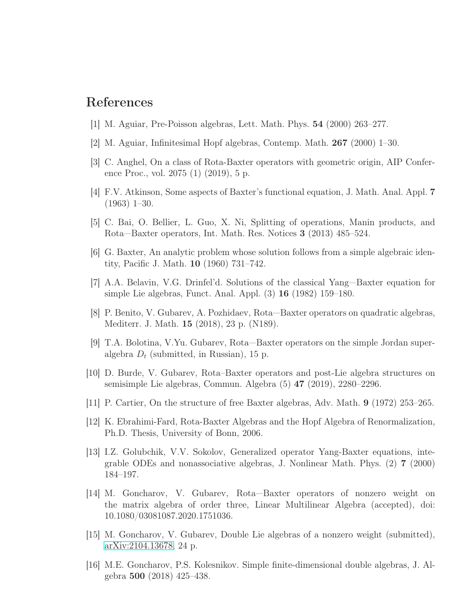### <span id="page-20-3"></span>References

- <span id="page-20-9"></span>[1] M. Aguiar, Pre-Poisson algebras, Lett. Math. Phys. 54 (2000) 263–277.
- <span id="page-20-15"></span>[2] M. Aguiar, Infinitesimal Hopf algebras, Contemp. Math. 267 (2000) 1–30.
- <span id="page-20-1"></span>[3] C. Anghel, On a class of Rota-Baxter operators with geometric origin, AIP Conference Proc., vol. 2075 (1) (2019), 5 p.
- <span id="page-20-7"></span>[4] F.V. Atkinson, Some aspects of Baxter's functional equation, J. Math. Anal. Appl. 7 (1963) 1–30.
- <span id="page-20-0"></span>[5] C. Bai, O. Bellier, L. Guo, X. Ni, Splitting of operations, Manin products, and Rota—Baxter operators, Int. Math. Res. Notices 3 (2013) 485–524.
- <span id="page-20-4"></span>[6] G. Baxter, An analytic problem whose solution follows from a simple algebraic identity, Pacific J. Math. 10 (1960) 731–742.
- <span id="page-20-10"></span>[7] A.A. Belavin, V.G. Drinfel'd. Solutions of the classical Yang—Baxter equation for simple Lie algebras, Funct. Anal. Appl. (3) 16 (1982) 159–180.
- <span id="page-20-13"></span>[8] P. Benito, V. Gubarev, A. Pozhidaev, Rota—Baxter operators on quadratic algebras, Mediterr. J. Math. 15 (2018), 23 p. (N189).
- <span id="page-20-12"></span>[9] T.A. Bolotina, V.Yu. Gubarev, Rota—Baxter operators on the simple Jordan superalgebra  $D_t$  (submitted, in Russian), 15 p.
- <span id="page-20-2"></span>[10] D. Burde, V. Gubarev, Rota–Baxter operators and post-Lie algebra structures on semisimple Lie algebras, Commun. Algebra (5) 47 (2019), 2280–2296.
- <span id="page-20-5"></span>[11] P. Cartier, On the structure of free Baxter algebras, Adv. Math. 9 (1972) 253–265.
- <span id="page-20-8"></span>[12] K. Ebrahimi-Fard, Rota-Baxter Algebras and the Hopf Algebra of Renormalization, Ph.D. Thesis, University of Bonn, 2006.
- [13] I.Z. Golubchik, V.V. Sokolov, Generalized operator Yang-Baxter equations, integrable ODEs and nonassociative algebras, J. Nonlinear Math. Phys. (2) 7 (2000) 184–197.
- <span id="page-20-11"></span>[14] M. Goncharov, V. Gubarev, Rota—Baxter operators of nonzero weight on the matrix algebra of order three, Linear Multilinear Algebra (accepted), doi: 10.1080/03081087.2020.1751036.
- <span id="page-20-14"></span><span id="page-20-6"></span>[15] M. Goncharov, V. Gubarev, Double Lie algebras of a nonzero weight (submitted), [arXiv:2104.13678,](http://arxiv.org/abs/2104.13678) 24 p.
- [16] M.E. Goncharov, P.S. Kolesnikov. Simple finite-dimensional double algebras, J. Algebra 500 (2018) 425–438.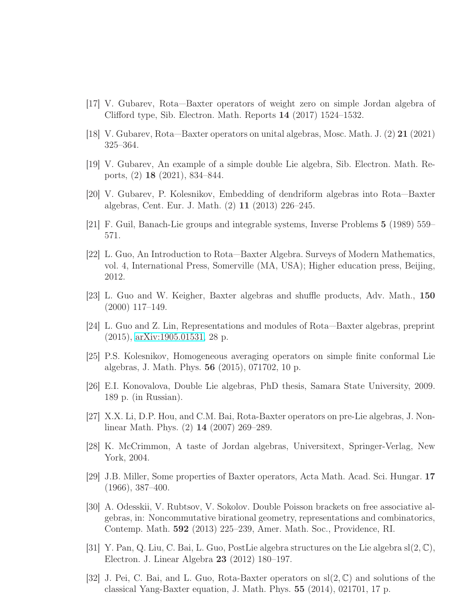- <span id="page-21-10"></span><span id="page-21-9"></span>[17] V. Gubarev, Rota—Baxter operators of weight zero on simple Jordan algebra of Clifford type, Sib. Electron. Math. Reports 14 (2017) 1524–1532.
- <span id="page-21-12"></span>[18] V. Gubarev, Rota—Baxter operators on unital algebras, Mosc. Math. J. (2) 21 (2021) 325–364.
- <span id="page-21-2"></span>[19] V. Gubarev, An example of a simple double Lie algebra, Sib. Electron. Math. Reports, (2) 18 (2021), 834–844.
- <span id="page-21-13"></span>[20] V. Gubarev, P. Kolesnikov, Embedding of dendriform algebras into Rota—Baxter algebras, Cent. Eur. J. Math. (2) 11 (2013) 226–245.
- <span id="page-21-3"></span>[21] F. Guil, Banach-Lie groups and integrable systems, Inverse Problems 5 (1989) 559– 571.
- [22] L. Guo, An Introduction to Rota—Baxter Algebra. Surveys of Modern Mathematics, vol. 4, International Press, Somerville (MA, USA); Higher education press, Beijing, 2012.
- <span id="page-21-15"></span><span id="page-21-4"></span>[23] L. Guo and W. Keigher, Baxter algebras and shuffle products, Adv. Math., 150 (2000) 117–149.
- [24] L. Guo and Z. Lin, Representations and modules of Rota—Baxter algebras, preprint (2015), [arXiv:1905.01531,](http://arxiv.org/abs/1905.01531) 28 p.
- <span id="page-21-8"></span><span id="page-21-5"></span>[25] P.S. Kolesnikov, Homogeneous averaging operators on simple finite conformal Lie algebras, J. Math. Phys. 56 (2015), 071702, 10 p.
- <span id="page-21-11"></span>[26] E.I. Konovalova, Double Lie algebras, PhD thesis, Samara State University, 2009. 189 p. (in Russian).
- [27] X.X. Li, D.P. Hou, and C.M. Bai, Rota-Baxter operators on pre-Lie algebras, J. Nonlinear Math. Phys. (2) 14 (2007) 269–289.
- <span id="page-21-14"></span><span id="page-21-0"></span>[28] K. McCrimmon, A taste of Jordan algebras, Universitext, Springer-Verlag, New York, 2004.
- [29] J.B. Miller, Some properties of Baxter operators, Acta Math. Acad. Sci. Hungar. 17 (1966), 387–400.
- <span id="page-21-1"></span>[30] A. Odesskii, V. Rubtsov, V. Sokolov. Double Poisson brackets on free associative algebras, in: Noncommutative birational geometry, representations and combinatorics, Contemp. Math. 592 (2013) 225–239, Amer. Math. Soc., Providence, RI.
- <span id="page-21-6"></span>[31] Y. Pan, Q. Liu, C. Bai, L. Guo, PostLie algebra structures on the Lie algebra  $sl(2,\mathbb{C}),$ Electron. J. Linear Algebra 23 (2012) 180–197.
- <span id="page-21-7"></span>[32] J. Pei, C. Bai, and L. Guo, Rota-Baxter operators on  $sl(2,\mathbb{C})$  and solutions of the classical Yang-Baxter equation, J. Math. Phys. 55 (2014), 021701, 17 p.